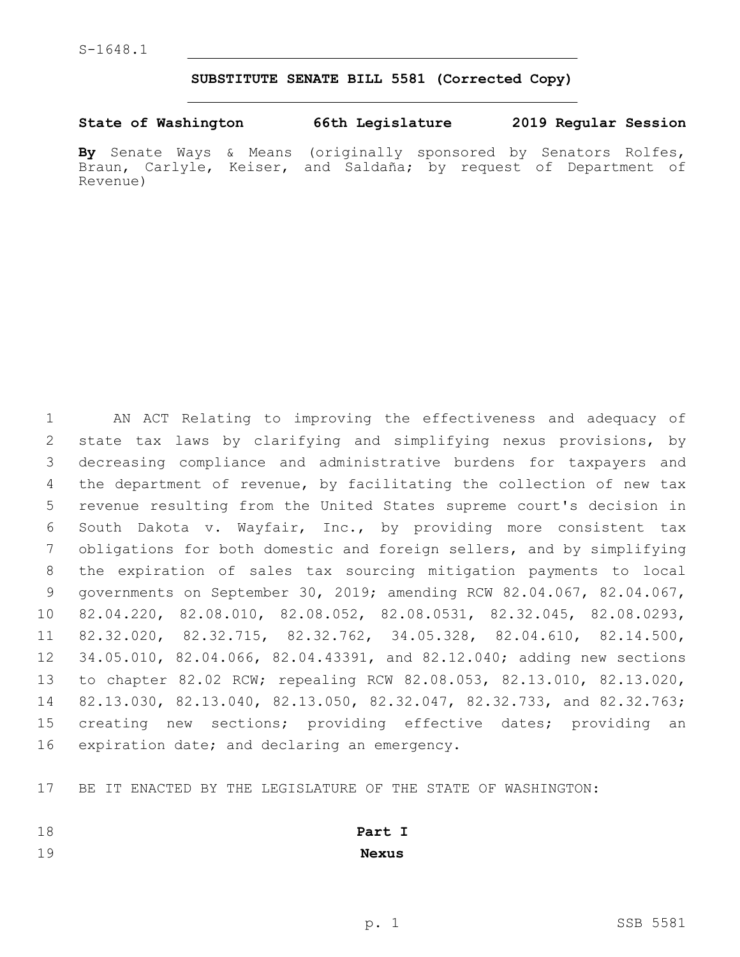## **SUBSTITUTE SENATE BILL 5581 (Corrected Copy)**

**State of Washington 66th Legislature 2019 Regular Session**

**By** Senate Ways & Means (originally sponsored by Senators Rolfes, Braun, Carlyle, Keiser, and Saldaña; by request of Department of Revenue)

 AN ACT Relating to improving the effectiveness and adequacy of state tax laws by clarifying and simplifying nexus provisions, by decreasing compliance and administrative burdens for taxpayers and the department of revenue, by facilitating the collection of new tax revenue resulting from the United States supreme court's decision in South Dakota v. Wayfair, Inc., by providing more consistent tax obligations for both domestic and foreign sellers, and by simplifying the expiration of sales tax sourcing mitigation payments to local governments on September 30, 2019; amending RCW 82.04.067, 82.04.067, 82.04.220, 82.08.010, 82.08.052, 82.08.0531, 82.32.045, 82.08.0293, 82.32.020, 82.32.715, 82.32.762, 34.05.328, 82.04.610, 82.14.500, 34.05.010, 82.04.066, 82.04.43391, and 82.12.040; adding new sections to chapter 82.02 RCW; repealing RCW 82.08.053, 82.13.010, 82.13.020, 82.13.030, 82.13.040, 82.13.050, 82.32.047, 82.32.733, and 82.32.763; creating new sections; providing effective dates; providing an 16 expiration date; and declaring an emergency.

BE IT ENACTED BY THE LEGISLATURE OF THE STATE OF WASHINGTON:

| 18 | Part I       |
|----|--------------|
| 19 | <b>Nexus</b> |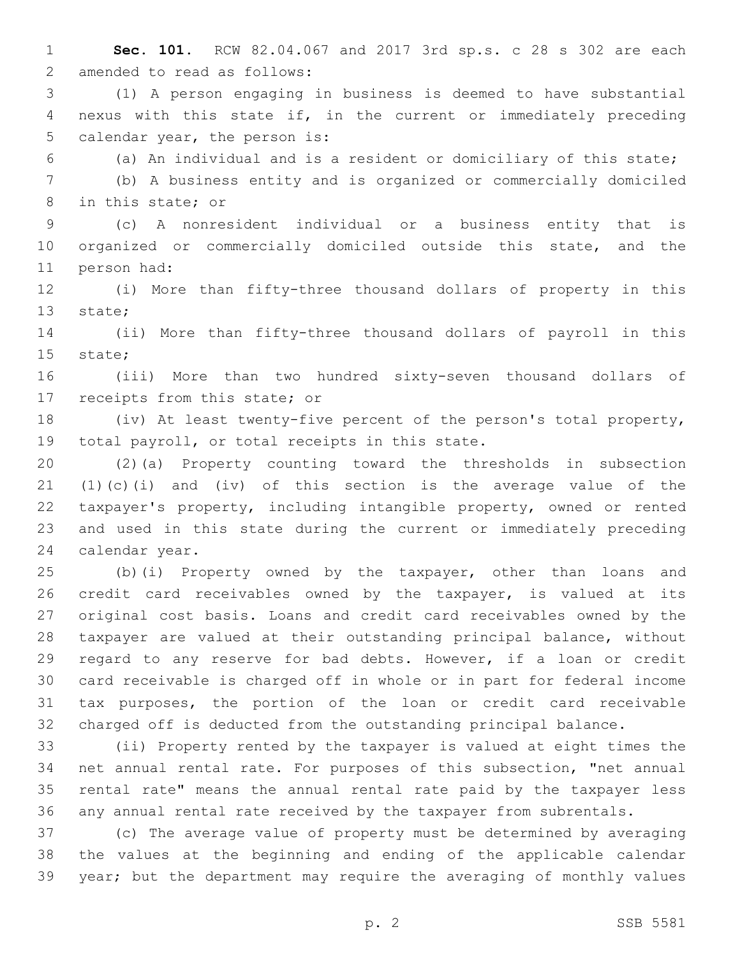- **Sec. 101.** RCW 82.04.067 and 2017 3rd sp.s. c 28 s 302 are each 2 amended to read as follows:
- (1) A person engaging in business is deemed to have substantial nexus with this state if, in the current or immediately preceding 5 calendar year, the person is:
- 

(a) An individual and is a resident or domiciliary of this state;

 (b) A business entity and is organized or commercially domiciled 8 in this state; or

 (c) A nonresident individual or a business entity that is organized or commercially domiciled outside this state, and the 11 person had:

 (i) More than fifty-three thousand dollars of property in this 13 state;

 (ii) More than fifty-three thousand dollars of payroll in this 15 state;

 (iii) More than two hundred sixty-seven thousand dollars of 17 receipts from this state; or

 (iv) At least twenty-five percent of the person's total property, 19 total payroll, or total receipts in this state.

 (2)(a) Property counting toward the thresholds in subsection (1)(c)(i) and (iv) of this section is the average value of the taxpayer's property, including intangible property, owned or rented and used in this state during the current or immediately preceding 24 calendar year.

 (b)(i) Property owned by the taxpayer, other than loans and credit card receivables owned by the taxpayer, is valued at its original cost basis. Loans and credit card receivables owned by the taxpayer are valued at their outstanding principal balance, without regard to any reserve for bad debts. However, if a loan or credit card receivable is charged off in whole or in part for federal income tax purposes, the portion of the loan or credit card receivable charged off is deducted from the outstanding principal balance.

 (ii) Property rented by the taxpayer is valued at eight times the net annual rental rate. For purposes of this subsection, "net annual rental rate" means the annual rental rate paid by the taxpayer less any annual rental rate received by the taxpayer from subrentals.

 (c) The average value of property must be determined by averaging the values at the beginning and ending of the applicable calendar year; but the department may require the averaging of monthly values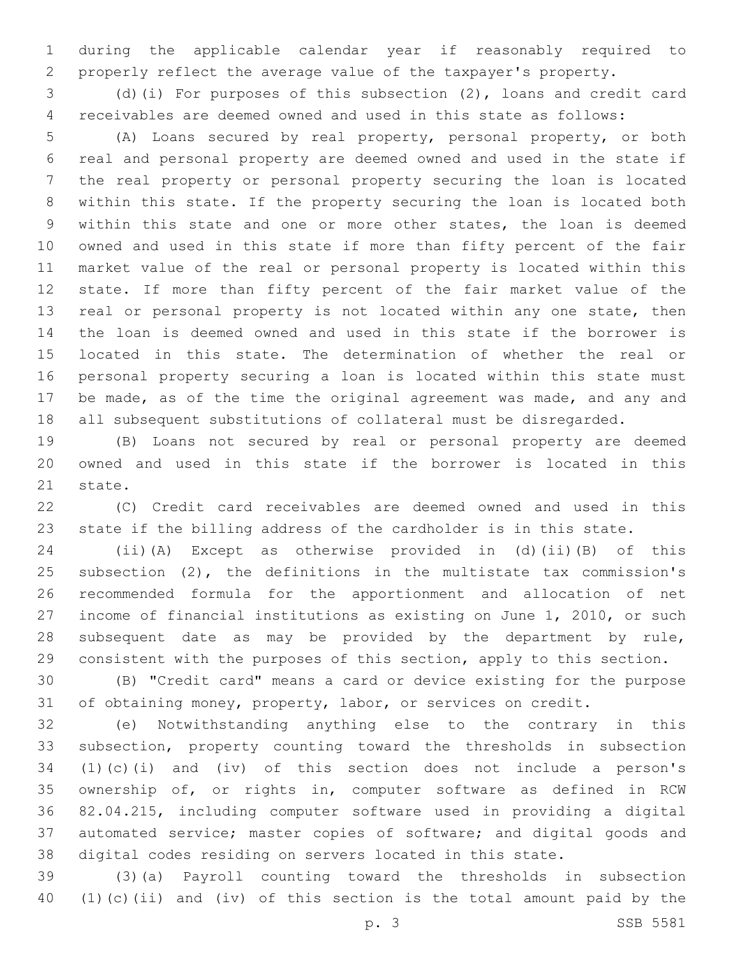during the applicable calendar year if reasonably required to properly reflect the average value of the taxpayer's property.

 (d)(i) For purposes of this subsection (2), loans and credit card receivables are deemed owned and used in this state as follows:

 (A) Loans secured by real property, personal property, or both real and personal property are deemed owned and used in the state if the real property or personal property securing the loan is located within this state. If the property securing the loan is located both within this state and one or more other states, the loan is deemed owned and used in this state if more than fifty percent of the fair market value of the real or personal property is located within this state. If more than fifty percent of the fair market value of the 13 real or personal property is not located within any one state, then the loan is deemed owned and used in this state if the borrower is located in this state. The determination of whether the real or personal property securing a loan is located within this state must be made, as of the time the original agreement was made, and any and all subsequent substitutions of collateral must be disregarded.

 (B) Loans not secured by real or personal property are deemed owned and used in this state if the borrower is located in this 21 state.

 (C) Credit card receivables are deemed owned and used in this state if the billing address of the cardholder is in this state.

 (ii)(A) Except as otherwise provided in (d)(ii)(B) of this subsection (2), the definitions in the multistate tax commission's recommended formula for the apportionment and allocation of net income of financial institutions as existing on June 1, 2010, or such subsequent date as may be provided by the department by rule, consistent with the purposes of this section, apply to this section.

 (B) "Credit card" means a card or device existing for the purpose 31 of obtaining money, property, labor, or services on credit.

 (e) Notwithstanding anything else to the contrary in this subsection, property counting toward the thresholds in subsection (1)(c)(i) and (iv) of this section does not include a person's ownership of, or rights in, computer software as defined in RCW 82.04.215, including computer software used in providing a digital automated service; master copies of software; and digital goods and digital codes residing on servers located in this state.

 (3)(a) Payroll counting toward the thresholds in subsection (1)(c)(ii) and (iv) of this section is the total amount paid by the

p. 3 SSB 5581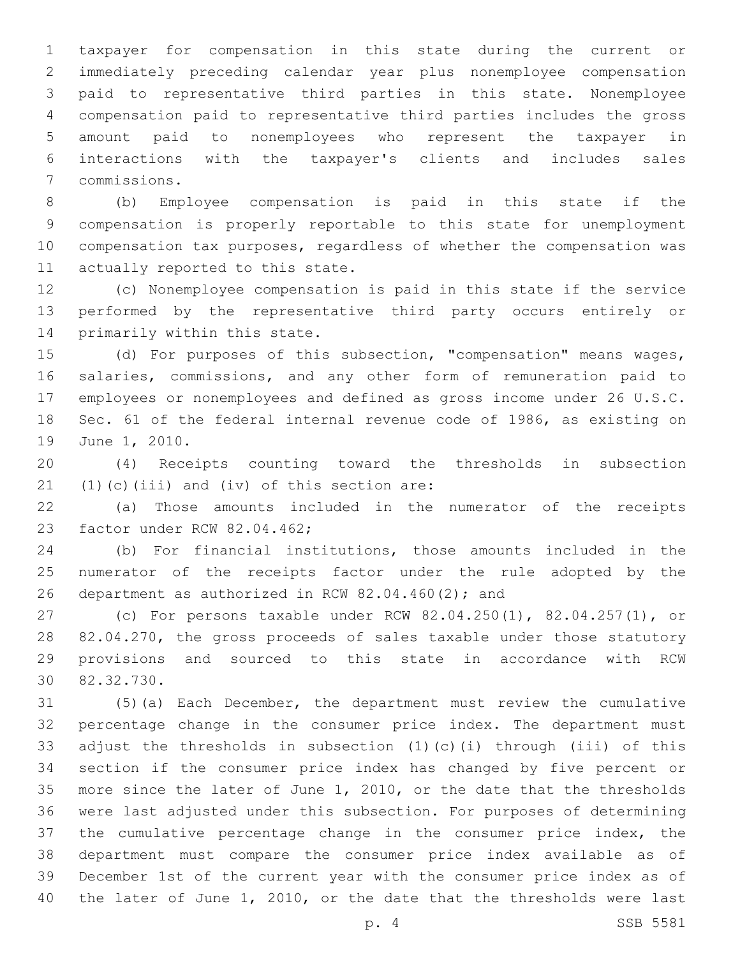taxpayer for compensation in this state during the current or immediately preceding calendar year plus nonemployee compensation paid to representative third parties in this state. Nonemployee compensation paid to representative third parties includes the gross amount paid to nonemployees who represent the taxpayer in interactions with the taxpayer's clients and includes sales commissions.7

 (b) Employee compensation is paid in this state if the compensation is properly reportable to this state for unemployment compensation tax purposes, regardless of whether the compensation was 11 actually reported to this state.

 (c) Nonemployee compensation is paid in this state if the service performed by the representative third party occurs entirely or 14 primarily within this state.

 (d) For purposes of this subsection, "compensation" means wages, salaries, commissions, and any other form of remuneration paid to employees or nonemployees and defined as gross income under 26 U.S.C. Sec. 61 of the federal internal revenue code of 1986, as existing on 19 June 1, 2010.

 (4) Receipts counting toward the thresholds in subsection  $(1)(c)(iii)$  and  $(iv)$  of this section are:

 (a) Those amounts included in the numerator of the receipts 23 factor under RCW 82.04.462;

 (b) For financial institutions, those amounts included in the numerator of the receipts factor under the rule adopted by the 26 department as authorized in RCW  $82.04.460(2)$ ; and

 (c) For persons taxable under RCW 82.04.250(1), 82.04.257(1), or 82.04.270, the gross proceeds of sales taxable under those statutory provisions and sourced to this state in accordance with RCW 30 82.32.730.

 (5)(a) Each December, the department must review the cumulative percentage change in the consumer price index. The department must adjust the thresholds in subsection (1)(c)(i) through (iii) of this section if the consumer price index has changed by five percent or more since the later of June 1, 2010, or the date that the thresholds were last adjusted under this subsection. For purposes of determining the cumulative percentage change in the consumer price index, the department must compare the consumer price index available as of December 1st of the current year with the consumer price index as of the later of June 1, 2010, or the date that the thresholds were last

p. 4 SSB 5581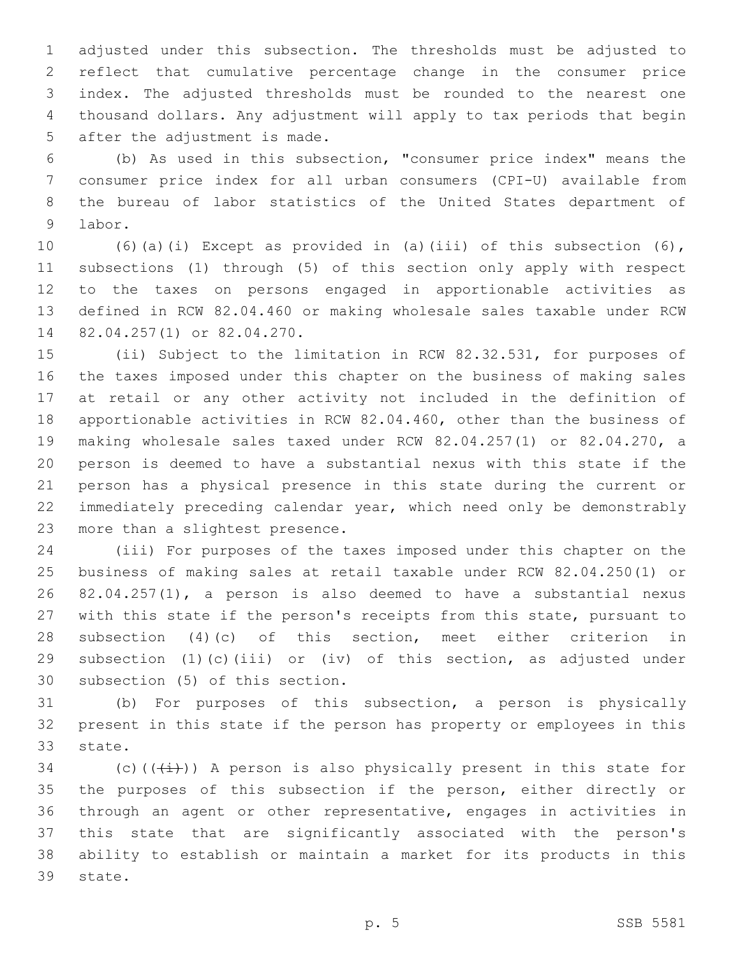adjusted under this subsection. The thresholds must be adjusted to reflect that cumulative percentage change in the consumer price index. The adjusted thresholds must be rounded to the nearest one thousand dollars. Any adjustment will apply to tax periods that begin 5 after the adjustment is made.

 (b) As used in this subsection, "consumer price index" means the consumer price index for all urban consumers (CPI-U) available from the bureau of labor statistics of the United States department of 9 labor.

 (6)(a)(i) Except as provided in (a)(iii) of this subsection (6), subsections (1) through (5) of this section only apply with respect to the taxes on persons engaged in apportionable activities as defined in RCW 82.04.460 or making wholesale sales taxable under RCW 14 82.04.257(1) or 82.04.270.

 (ii) Subject to the limitation in RCW 82.32.531, for purposes of the taxes imposed under this chapter on the business of making sales at retail or any other activity not included in the definition of apportionable activities in RCW 82.04.460, other than the business of making wholesale sales taxed under RCW 82.04.257(1) or 82.04.270, a person is deemed to have a substantial nexus with this state if the person has a physical presence in this state during the current or immediately preceding calendar year, which need only be demonstrably 23 more than a slightest presence.

 (iii) For purposes of the taxes imposed under this chapter on the business of making sales at retail taxable under RCW 82.04.250(1) or 82.04.257(1), a person is also deemed to have a substantial nexus with this state if the person's receipts from this state, pursuant to subsection (4)(c) of this section, meet either criterion in subsection (1)(c)(iii) or (iv) of this section, as adjusted under 30 subsection (5) of this section.

 (b) For purposes of this subsection, a person is physically present in this state if the person has property or employees in this 33 state.

34 (c)( $(\frac{1}{1})$ ) A person is also physically present in this state for the purposes of this subsection if the person, either directly or through an agent or other representative, engages in activities in this state that are significantly associated with the person's ability to establish or maintain a market for its products in this 39 state.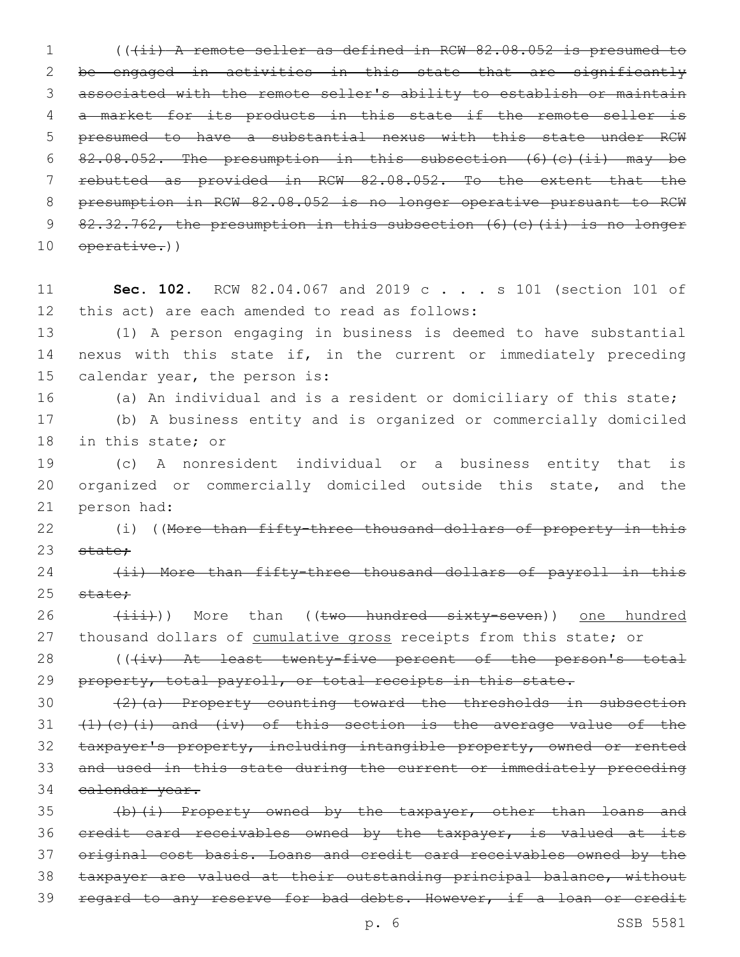1 (((ii) A remote seller as defined in RCW 82.08.052 is presumed to be engaged in activities in this state that are significantly associated with the remote seller's ability to establish or maintain a market for its products in this state if the remote seller is presumed to have a substantial nexus with this state under RCW 82.08.052. The presumption in this subsection (6)(c)(ii) may be rebutted as provided in RCW 82.08.052. To the extent that the presumption in RCW 82.08.052 is no longer operative pursuant to RCW 82.32.762, the presumption in this subsection (6)(c)(ii) is no longer 10 operative.))

11 **Sec. 102.** RCW 82.04.067 and 2019 c . . . s 101 (section 101 of 12 this act) are each amended to read as follows:

13 (1) A person engaging in business is deemed to have substantial 14 nexus with this state if, in the current or immediately preceding 15 calendar year, the person is:

16 (a) An individual and is a resident or domiciliary of this state; 17 (b) A business entity and is organized or commercially domiciled

18 in this state; or

19 (c) A nonresident individual or a business entity that is 20 organized or commercially domiciled outside this state, and the 21 person had:

22 (i) ((More than fifty-three thousand dollars of property in this 23 state;

24 (ii) More than fifty-three thousand dollars of payroll in this  $25$  state:

26 (iii))) More than ((two hundred sixty-seven)) one hundred 27 thousand dollars of cumulative gross receipts from this state; or

28 (((iv) At least twenty-five percent of the person's total 29 property, total payroll, or total receipts in this state.

30 (2)(a) Property counting toward the thresholds in subsection  $(1)(c)(i)$  and  $(iv)$  of this section is the average value of the taxpayer's property, including intangible property, owned or rented and used in this state during the current or immediately preceding calendar year.

35 (b)(i) Property owned by the taxpayer, other than loans and 36 credit card receivables owned by the taxpayer, is valued at its 37 original cost basis. Loans and credit card receivables owned by the 38 taxpayer are valued at their outstanding principal balance, without 39 regard to any reserve for bad debts. However, if a loan or credit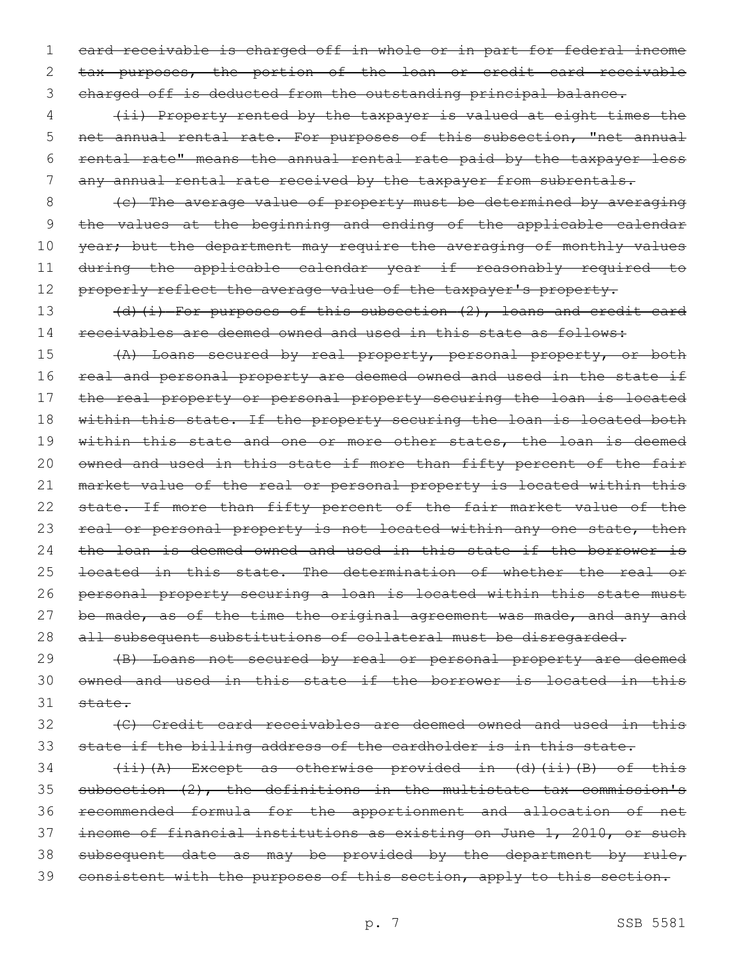1 card receivable is charged off in whole or in part for federal income 2 tax purposes, the portion of the loan or credit card receivable 3 charged off is deducted from the outstanding principal balance.

4 (ii) Property rented by the taxpayer is valued at eight times the 5 net annual rental rate. For purposes of this subsection, "net annual 6 rental rate" means the annual rental rate paid by the taxpayer less 7 any annual rental rate received by the taxpayer from subrentals.

8 (c) The average value of property must be determined by averaging 9 the values at the beginning and ending of the applicable calendar 10 year; but the department may require the averaging of monthly values 11 during the applicable calendar year if reasonably required to 12 properly reflect the average value of the taxpayer's property.

13 (d)(i) For purposes of this subsection (2), loans and credit card 14 receivables are deemed owned and used in this state as follows:

15 (A) Loans secured by real property, personal property, or both 16 real and personal property are deemed owned and used in the state if 17 the real property or personal property securing the loan is located 18 within this state. If the property securing the loan is located both 19 within this state and one or more other states, the loan is deemed 20 owned and used in this state if more than fifty percent of the fair 21 market value of the real or personal property is located within this 22 state. If more than fifty percent of the fair market value of the 23 real or personal property is not located within any one state, then 24 the loan is deemed owned and used in this state if the borrower is 25 <del>located in this state. The determination of whether the real or</del> 26 personal property securing a loan is located within this state must 27 be made, as of the time the original agreement was made, and any and 28 all subsequent substitutions of collateral must be disregarded.

29 (B) Loans not secured by real or personal property are deemed 30 owned and used in this state if the borrower is located in this 31 state.

32 (C) Credit card receivables are deemed owned and used in this 33 state if the billing address of the cardholder is in this state.

 (ii)(A) Except as otherwise provided in (d)(ii)(B) of this subsection (2), the definitions in the multistate tax commission's recommended formula for the apportionment and allocation of net income of financial institutions as existing on June 1, 2010, or such 38 subsequent date as may be provided by the department by rule, 39 consistent with the purposes of this section, apply to this section.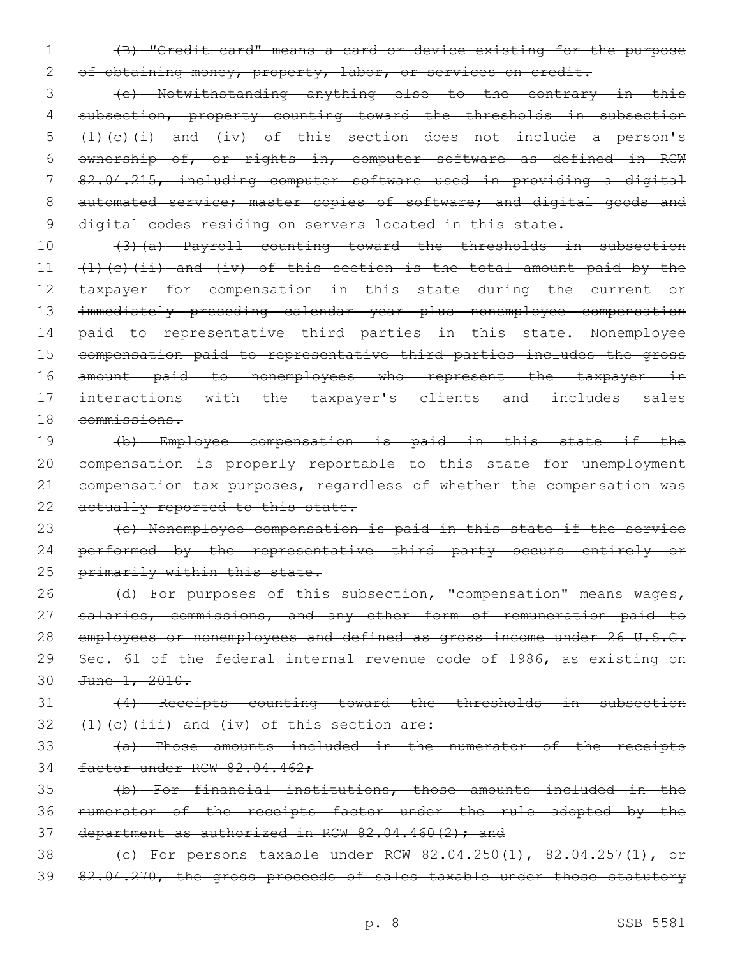1 (B) "Credit card" means a card or device existing for the purpose

2 of obtaining money, property, labor, or services on credit.

3 (e) Notwithstanding anything else to the contrary in this 4 subsection, property counting toward the thresholds in subsection 5 (1)(c)(i) and (iv) of this section does not include a person's 6 ownership of, or rights in, computer software as defined in RCW 7 82.04.215, including computer software used in providing a digital 8 automated service; master copies of software; and digital goods and 9 digital codes residing on servers located in this state.

 (3)(a) Payroll counting toward the thresholds in subsection  $(1)$  (c)(ii) and (iv) of this section is the total amount paid by the 12 taxpayer for compensation in this state during the current or immediately preceding calendar year plus nonemployee compensation 14 paid to representative third parties in this state. Nonemployee compensation paid to representative third parties includes the gross amount paid to nonemployees who represent the taxpayer in interactions with the taxpayer's clients and includes sales commissions.

 (b) Employee compensation is paid in this state if the compensation is properly reportable to this state for unemployment compensation tax purposes, regardless of whether the compensation was 22 actually reported to this state.

23 (c) Nonemployee compensation is paid in this state if the service 24 performed by the representative third party occurs entirely or 25 primarily within this state.

26 (d) For purposes of this subsection, "compensation" means wages, 27 salaries, commissions, and any other form of remuneration paid to 28 employees or nonemployees and defined as gross income under 26 U.S.C. 29 Sec. 61 of the federal internal revenue code of 1986, as existing on 30 June 1, 2010.

31 (4) Receipts counting toward the thresholds in subsection  $32$  (1)(c)(iii) and (iv) of this section are:

33 (a) Those amounts included in the numerator of the receipts 34 factor under RCW 82.04.462;

35 (b) For financial institutions, those amounts included in the 36 numerator of the receipts factor under the rule adopted by the 37 department as authorized in RCW  $82.04.460(2)$ ; and

38 (c) For persons taxable under RCW 82.04.250(1), 82.04.257(1), 39 82.04.270, the gross proceeds of sales taxable under those statutory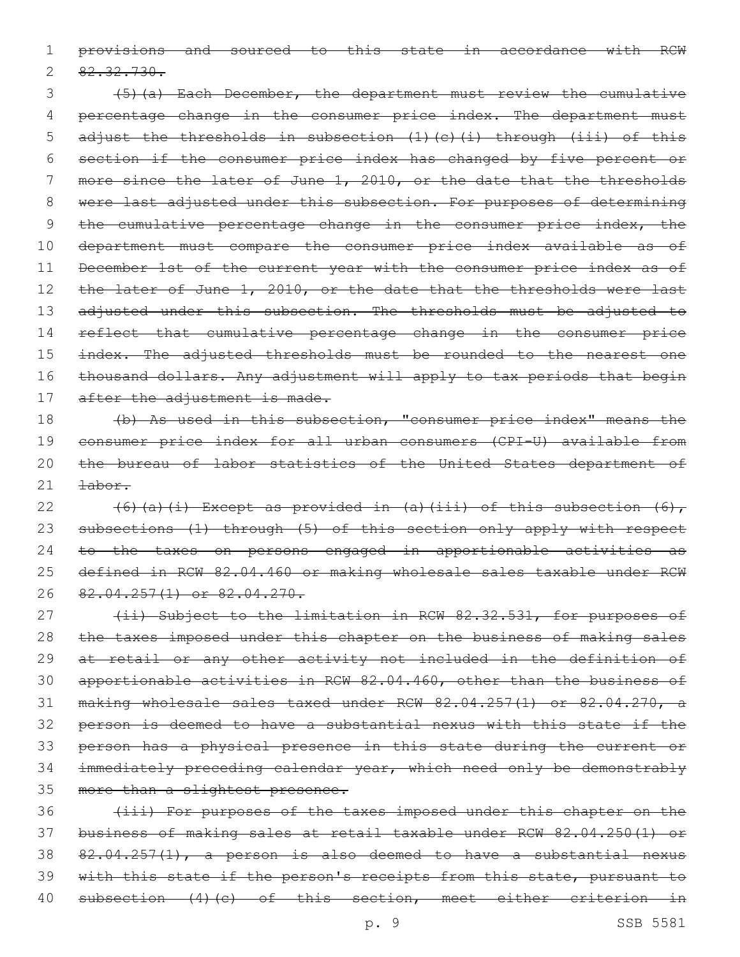1 provisions and sourced to this state in accordance with RCW

 $2 \frac{82.32.730}{$ 

3 (5)(a) Each December, the department must review the cumulative 4 percentage change in the consumer price index. The department must 5 adjust the thresholds in subsection (1)(c)(i) through (iii) of this 6 section if the consumer price index has changed by five percent or 7 more since the later of June 1, 2010, or the date that the thresholds 8 were last adjusted under this subsection. For purposes of determining 9 the cumulative percentage change in the consumer price index, the 10 department must compare the consumer price index available as of 11 December 1st of the current year with the consumer price index as of 12 the later of June 1, 2010, or the date that the thresholds were last 13 adjusted under this subsection. The thresholds must be adjusted to 14 reflect that cumulative percentage change in the consumer price 15 index. The adjusted thresholds must be rounded to the nearest one 16 thousand dollars. Any adjustment will apply to tax periods that begin 17 after the adjustment is made.

18 (b) As used in this subsection, "consumer price index" means the 19 consumer price index for all urban consumers (CPI-U) available from 20 the bureau of labor statistics of the United States department of 21 <del>labor.</del>

 $(6)(a)(i)$  Except as provided in  $(a)(iii)$  of this subsection  $(6)$ , 23 subsections (1) through (5) of this section only apply with respect to the taxes on persons engaged in apportionable activities as defined in RCW 82.04.460 or making wholesale sales taxable under RCW 82.04.257(1) or 82.04.270.

27 (ii) Subject to the limitation in RCW 82.32.531, for purposes of 28 the taxes imposed under this chapter on the business of making sales at retail or any other activity not included in the definition of apportionable activities in RCW 82.04.460, other than the business of making wholesale sales taxed under RCW 82.04.257(1) or 82.04.270, a person is deemed to have a substantial nexus with this state if the person has a physical presence in this state during the current or immediately preceding calendar year, which need only be demonstrably 35 more than a slightest presence.

 (iii) For purposes of the taxes imposed under this chapter on the business of making sales at retail taxable under RCW 82.04.250(1) or 82.04.257(1), a person is also deemed to have a substantial nexus 39 with this state if the person's receipts from this state, pursuant to subsection (4)(c) of this section, meet either criterion in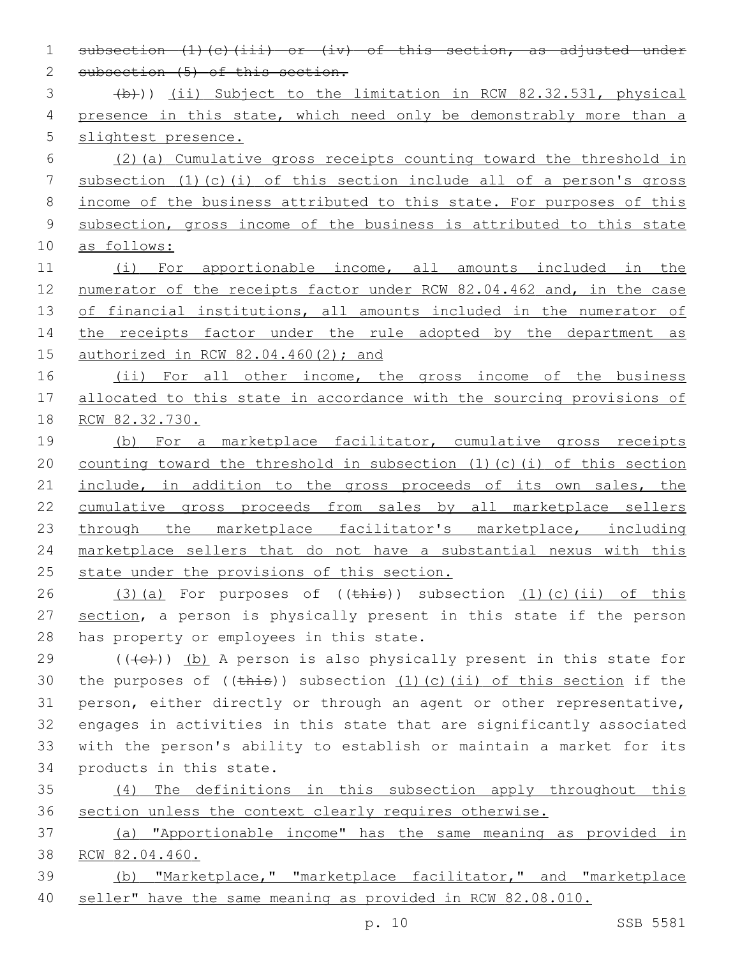2 subsection (5) of this section. 3 (b))) (ii) Subject to the limitation in RCW 82.32.531, physical 4 presence in this state, which need only be demonstrably more than a 5 slightest presence. 6 (2)(a) Cumulative gross receipts counting toward the threshold in 7 subsection (1)(c)(i) of this section include all of a person's gross 8 income of the business attributed to this state. For purposes of this 9 subsection, gross income of the business is attributed to this state 10 as follows: 11 (i) For apportionable income, all amounts included in the 12 numerator of the receipts factor under RCW 82.04.462 and, in the case 13 of financial institutions, all amounts included in the numerator of 14 the receipts factor under the rule adopted by the department as 15 authorized in RCW 82.04.460(2); and 16 (ii) For all other income, the gross income of the business 17 allocated to this state in accordance with the sourcing provisions of 18 RCW 82.32.730. 19 (b) For a marketplace facilitator, cumulative gross receipts 20 counting toward the threshold in subsection (1)(c)(i) of this section 21 include, in addition to the gross proceeds of its own sales, the 22 cumulative gross proceeds from sales by all marketplace sellers 23 through the marketplace facilitator's marketplace, including 24 marketplace sellers that do not have a substantial nexus with this 25 state under the provisions of this section. 26  $(3)(a)$  For purposes of  $((this))$  subsection  $(1)(c)(ii)$  of this 27 section, a person is physically present in this state if the person 28 has property or employees in this state. 29 ( $(\overline{+e})$ ) (b) A person is also physically present in this state for 30 the purposes of  $((\text{this}) )$  subsection  $(1)$  (c)(ii) of this section if the 31 person, either directly or through an agent or other representative, 32 engages in activities in this state that are significantly associated 33 with the person's ability to establish or maintain a market for its 34 products in this state. 35 (4) The definitions in this subsection apply throughout this 36 section unless the context clearly requires otherwise. 37 (a) "Apportionable income" has the same meaning as provided in 38 RCW 82.04.460. 39 (b) "Marketplace," "marketplace facilitator," and "marketplace 40 seller" have the same meaning as provided in RCW 82.08.010.

1 subsection (1)(c)(iii) or (iv) of this section, as adjusted under

p. 10 SSB 5581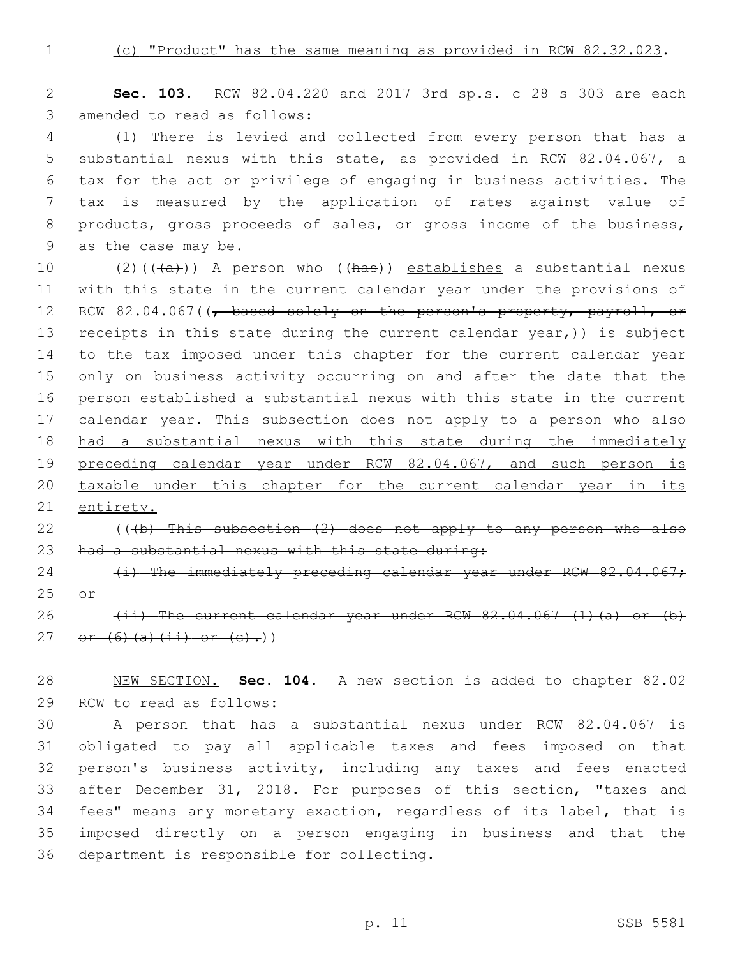1 (c) "Product" has the same meaning as provided in RCW 82.32.023.

2 **Sec. 103.** RCW 82.04.220 and 2017 3rd sp.s. c 28 s 303 are each 3 amended to read as follows:

 (1) There is levied and collected from every person that has a substantial nexus with this state, as provided in RCW 82.04.067, a tax for the act or privilege of engaging in business activities. The tax is measured by the application of rates against value of 8 products, gross proceeds of sales, or gross income of the business, 9 as the case may be.

10 (2)( $(\overline{a})$ ) A person who ( $(has)$ ) establishes a substantial nexus 11 with this state in the current calendar year under the provisions of 12 RCW 82.04.067((, based solely on the person's property, payroll, or 13 receipts in this state during the current calendar  $year<sub>r</sub>)$ ) is subject 14 to the tax imposed under this chapter for the current calendar year 15 only on business activity occurring on and after the date that the 16 person established a substantial nexus with this state in the current 17 calendar year. This subsection does not apply to a person who also 18 had a substantial nexus with this state during the immediately 19 preceding calendar year under RCW 82.04.067, and such person is 20 taxable under this chapter for the current calendar year in its 21 entirety.

# 22  $($  (( $+b$ ) This subsection  $(2)$  does not apply to any person who also 23 had a substantial nexus with this state during:

24 (i) The immediately preceding calendar year under RCW 82.04.067;  $25$   $\Theta$  $\mathbf{f}$ 

26  $(i)$  The current calendar year under RCW  $82.04.067$  (1)(a) or (b) 27 or  $(6)$   $(a)$   $(ii)$  or  $(e)$ .)

28 NEW SECTION. **Sec. 104.** A new section is added to chapter 82.02 29 RCW to read as follows:

 A person that has a substantial nexus under RCW 82.04.067 is obligated to pay all applicable taxes and fees imposed on that person's business activity, including any taxes and fees enacted after December 31, 2018. For purposes of this section, "taxes and fees" means any monetary exaction, regardless of its label, that is imposed directly on a person engaging in business and that the 36 department is responsible for collecting.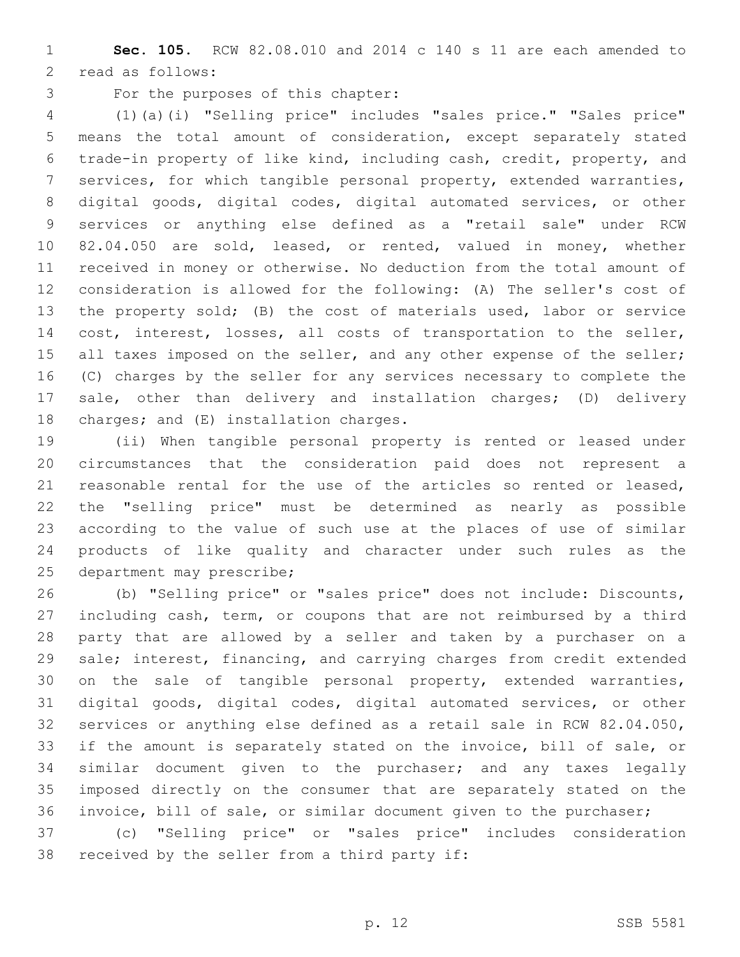**Sec. 105.** RCW 82.08.010 and 2014 c 140 s 11 are each amended to 2 read as follows:

3 For the purposes of this chapter:

 (1)(a)(i) "Selling price" includes "sales price." "Sales price" means the total amount of consideration, except separately stated trade-in property of like kind, including cash, credit, property, and services, for which tangible personal property, extended warranties, digital goods, digital codes, digital automated services, or other services or anything else defined as a "retail sale" under RCW 82.04.050 are sold, leased, or rented, valued in money, whether received in money or otherwise. No deduction from the total amount of consideration is allowed for the following: (A) The seller's cost of the property sold; (B) the cost of materials used, labor or service cost, interest, losses, all costs of transportation to the seller, 15 all taxes imposed on the seller, and any other expense of the seller; (C) charges by the seller for any services necessary to complete the sale, other than delivery and installation charges; (D) delivery 18 charges; and  $(E)$  installation charges.

 (ii) When tangible personal property is rented or leased under circumstances that the consideration paid does not represent a reasonable rental for the use of the articles so rented or leased, the "selling price" must be determined as nearly as possible according to the value of such use at the places of use of similar products of like quality and character under such rules as the 25 department may prescribe;

 (b) "Selling price" or "sales price" does not include: Discounts, including cash, term, or coupons that are not reimbursed by a third party that are allowed by a seller and taken by a purchaser on a sale; interest, financing, and carrying charges from credit extended on the sale of tangible personal property, extended warranties, digital goods, digital codes, digital automated services, or other services or anything else defined as a retail sale in RCW 82.04.050, if the amount is separately stated on the invoice, bill of sale, or similar document given to the purchaser; and any taxes legally imposed directly on the consumer that are separately stated on the invoice, bill of sale, or similar document given to the purchaser; (c) "Selling price" or "sales price" includes consideration

38 received by the seller from a third party if: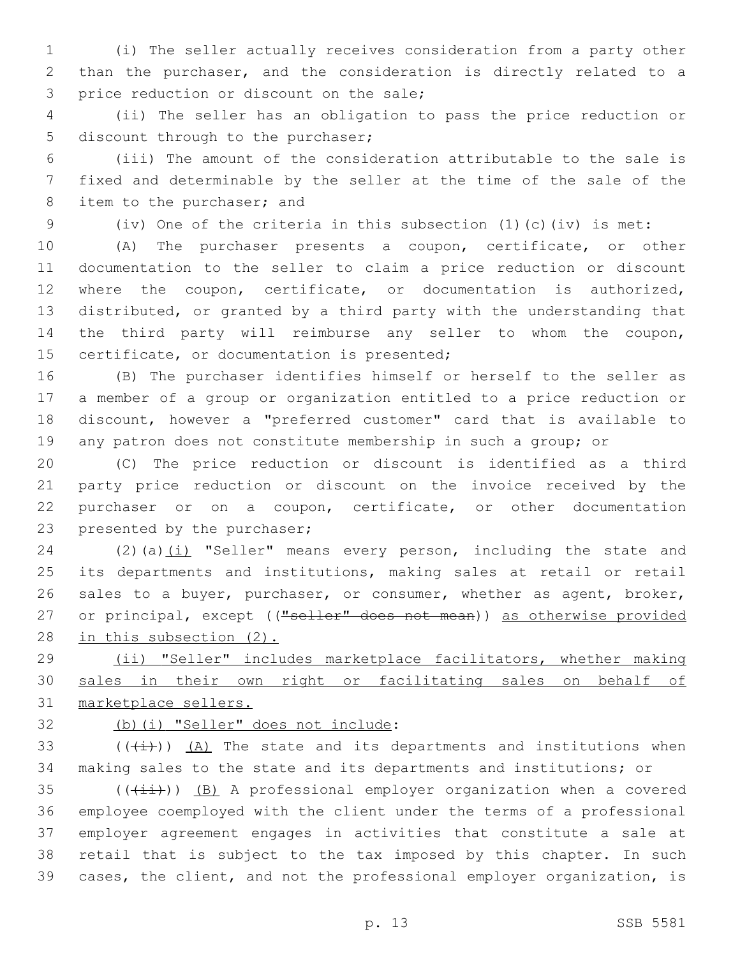(i) The seller actually receives consideration from a party other than the purchaser, and the consideration is directly related to a 3 price reduction or discount on the sale;

 (ii) The seller has an obligation to pass the price reduction or 5 discount through to the purchaser;

 (iii) The amount of the consideration attributable to the sale is fixed and determinable by the seller at the time of the sale of the 8 item to the purchaser; and

(iv) One of the criteria in this subsection (1)(c)(iv) is met:

 (A) The purchaser presents a coupon, certificate, or other documentation to the seller to claim a price reduction or discount where the coupon, certificate, or documentation is authorized, distributed, or granted by a third party with the understanding that the third party will reimburse any seller to whom the coupon, 15 certificate, or documentation is presented;

 (B) The purchaser identifies himself or herself to the seller as a member of a group or organization entitled to a price reduction or discount, however a "preferred customer" card that is available to any patron does not constitute membership in such a group; or

 (C) The price reduction or discount is identified as a third party price reduction or discount on the invoice received by the purchaser or on a coupon, certificate, or other documentation 23 presented by the purchaser;

24 (2)(a) $(i)$  "Seller" means every person, including the state and its departments and institutions, making sales at retail or retail sales to a buyer, purchaser, or consumer, whether as agent, broker, 27 or principal, except (("seller" does not mean)) as otherwise provided in this subsection (2).

 (ii) "Seller" includes marketplace facilitators, whether making sales in their own right or facilitating sales on behalf of marketplace sellers.

(b)(i) "Seller" does not include:

33  $((\overline{i}))(A)$  The state and its departments and institutions when making sales to the state and its departments and institutions; or

 (( $(i+i)$ )) (B) A professional employer organization when a covered employee coemployed with the client under the terms of a professional employer agreement engages in activities that constitute a sale at retail that is subject to the tax imposed by this chapter. In such cases, the client, and not the professional employer organization, is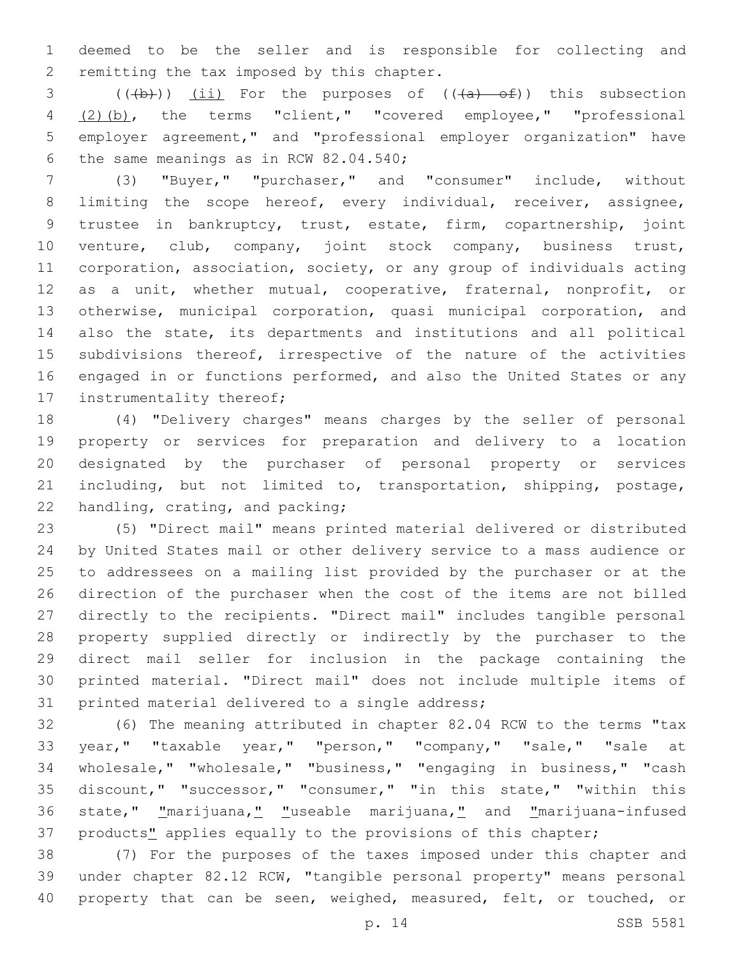deemed to be the seller and is responsible for collecting and 2 remitting the tax imposed by this chapter.

 $((+b))$   $(i)$  For the purposes of  $((+a)$   $-6)$ ) this subsection (2)(b), the terms "client," "covered employee," "professional employer agreement," and "professional employer organization" have 6 the same meanings as in RCW  $82.04.540$ ;

 (3) "Buyer," "purchaser," and "consumer" include, without 8 limiting the scope hereof, every individual, receiver, assignee, trustee in bankruptcy, trust, estate, firm, copartnership, joint venture, club, company, joint stock company, business trust, corporation, association, society, or any group of individuals acting as a unit, whether mutual, cooperative, fraternal, nonprofit, or otherwise, municipal corporation, quasi municipal corporation, and also the state, its departments and institutions and all political 15 subdivisions thereof, irrespective of the nature of the activities engaged in or functions performed, and also the United States or any 17 instrumentality thereof;

 (4) "Delivery charges" means charges by the seller of personal property or services for preparation and delivery to a location designated by the purchaser of personal property or services including, but not limited to, transportation, shipping, postage, 22 handling, crating, and packing;

 (5) "Direct mail" means printed material delivered or distributed by United States mail or other delivery service to a mass audience or to addressees on a mailing list provided by the purchaser or at the direction of the purchaser when the cost of the items are not billed directly to the recipients. "Direct mail" includes tangible personal property supplied directly or indirectly by the purchaser to the direct mail seller for inclusion in the package containing the printed material. "Direct mail" does not include multiple items of 31 printed material delivered to a single address;

 (6) The meaning attributed in chapter 82.04 RCW to the terms "tax year," "taxable year," "person," "company," "sale," "sale at wholesale," "wholesale," "business," "engaging in business," "cash discount," "successor," "consumer," "in this state," "within this state," "marijuana," "useable marijuana," and "marijuana-infused 37 products" applies equally to the provisions of this chapter;

 (7) For the purposes of the taxes imposed under this chapter and under chapter 82.12 RCW, "tangible personal property" means personal 40 property that can be seen, weighed, measured, felt, or touched, or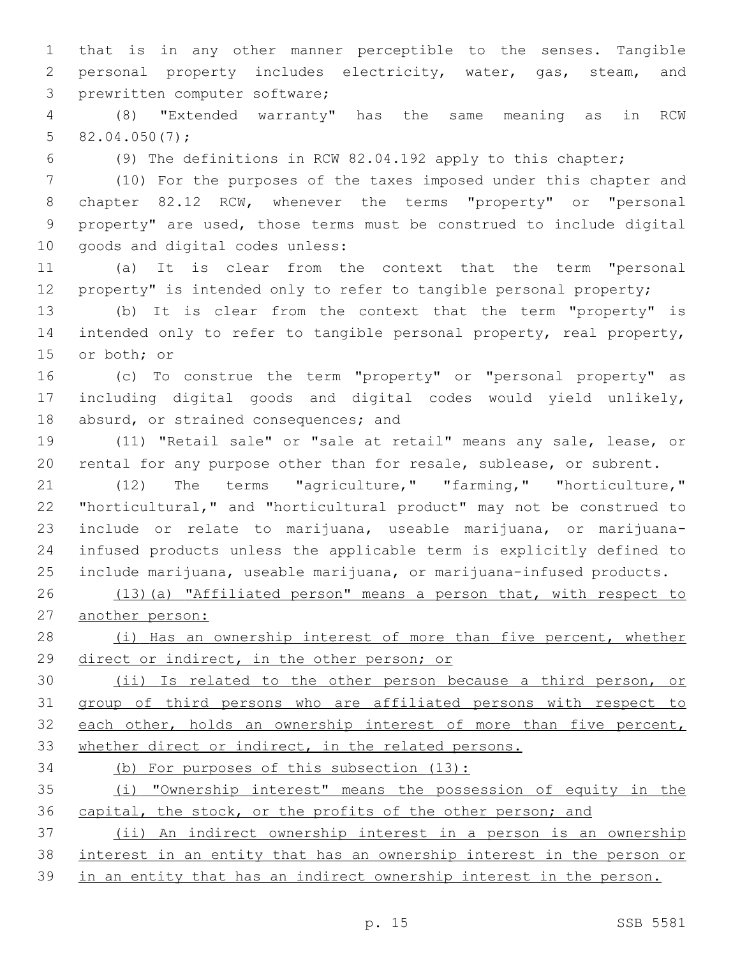that is in any other manner perceptible to the senses. Tangible personal property includes electricity, water, gas, steam, and 3 prewritten computer software;

 (8) "Extended warranty" has the same meaning as in RCW 5  $82.04.050(7)$ ;

(9) The definitions in RCW 82.04.192 apply to this chapter;

 (10) For the purposes of the taxes imposed under this chapter and chapter 82.12 RCW, whenever the terms "property" or "personal property" are used, those terms must be construed to include digital 10 goods and digital codes unless:

 (a) It is clear from the context that the term "personal 12 property" is intended only to refer to tangible personal property;

 (b) It is clear from the context that the term "property" is intended only to refer to tangible personal property, real property, 15 or both; or

 (c) To construe the term "property" or "personal property" as including digital goods and digital codes would yield unlikely, 18 absurd, or strained consequences; and

 (11) "Retail sale" or "sale at retail" means any sale, lease, or rental for any purpose other than for resale, sublease, or subrent.

 (12) The terms "agriculture," "farming," "horticulture," "horticultural," and "horticultural product" may not be construed to include or relate to marijuana, useable marijuana, or marijuana- infused products unless the applicable term is explicitly defined to include marijuana, useable marijuana, or marijuana-infused products.

 (13)(a) "Affiliated person" means a person that, with respect to another person:

28 (i) Has an ownership interest of more than five percent, whether direct or indirect, in the other person; or

 (ii) Is related to the other person because a third person, or group of third persons who are affiliated persons with respect to 32 each other, holds an ownership interest of more than five percent, 33 whether direct or indirect, in the related persons.

34 (b) For purposes of this subsection (13):

 (i) "Ownership interest" means the possession of equity in the 36 capital, the stock, or the profits of the other person; and

 (ii) An indirect ownership interest in a person is an ownership interest in an entity that has an ownership interest in the person or

in an entity that has an indirect ownership interest in the person.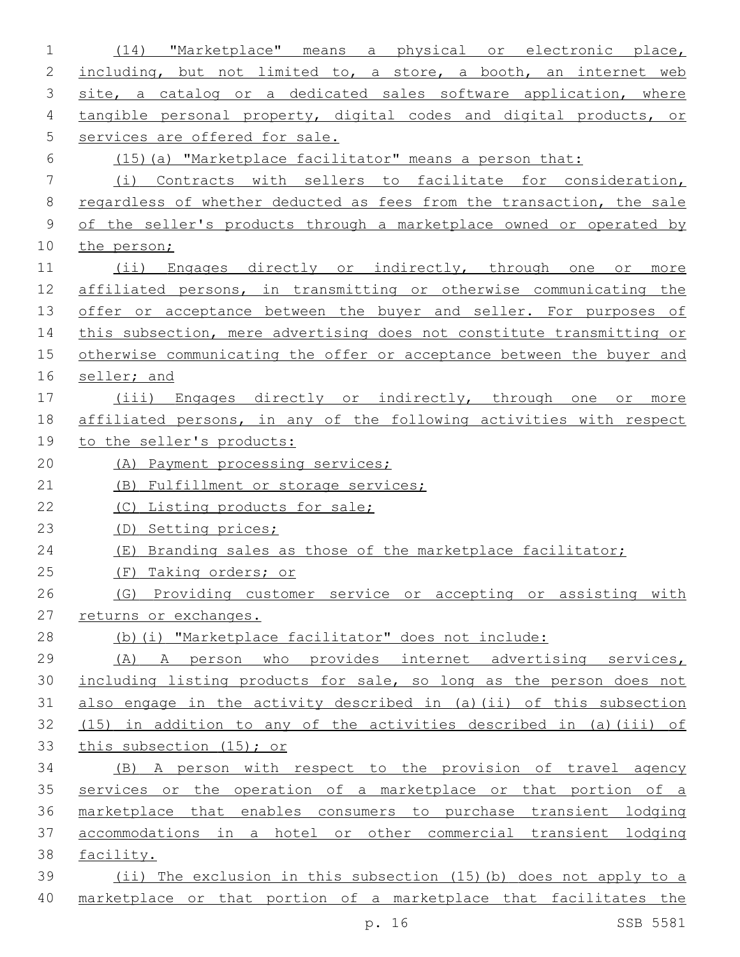| $\mathbf 1$ | "Marketplace" means a physical or electronic place,<br>(14)           |
|-------------|-----------------------------------------------------------------------|
| 2           | including, but not limited to, a store, a booth, an internet web      |
| 3           | site, a catalog or a dedicated sales software application, where      |
| 4           | tangible personal property, digital codes and digital products, or    |
| 5           | services are offered for sale.                                        |
| 6           | (15) (a) "Marketplace facilitator" means a person that:               |
| 7           | (i) Contracts with sellers to facilitate for consideration,           |
| 8           | regardless of whether deducted as fees from the transaction, the sale |
| $\mathsf 9$ | of the seller's products through a marketplace owned or operated by   |
| 10          | the person;                                                           |
| 11          | (ii) Engages directly or indirectly, through one or more              |
| 12          | affiliated persons, in transmitting or otherwise communicating the    |
| 13          | offer or acceptance between the buyer and seller. For purposes of     |
| 14          | this subsection, mere advertising does not constitute transmitting or |
| 15          | otherwise communicating the offer or acceptance between the buyer and |
| 16          | seller; and                                                           |
| 17          | (iii) Engages directly or indirectly, through one or more             |
| 18          | affiliated persons, in any of the following activities with respect   |
| 19          | to the seller's products:                                             |
| 20          | (A) Payment processing services;                                      |
| 21          | (B) Fulfillment or storage services;                                  |
| 22          | (C) Listing products for sale;                                        |
| 23          | (D) Setting prices;                                                   |
| 24          | (E) Branding sales as those of the marketplace facilitator;           |
| 25          | (F) Taking orders; or                                                 |
| 26          | (G) Providing customer service or accepting or assisting with         |
| 27          | returns or exchanges.                                                 |
| 28          | (b)(i) "Marketplace facilitator" does not include:                    |
| 29          | (A) A person who provides internet advertising services,              |
| 30          | including listing products for sale, so long as the person does not   |
| 31          | also engage in the activity described in (a) (ii) of this subsection  |
| 32          | $(15)$ in addition to any of the activities described in (a)(iii) of  |
| 33          | this subsection (15); or                                              |
| 34          | (B) A person with respect to the provision of travel agency           |
| 35          | services or the operation of a marketplace or that portion of a       |
| 36          | marketplace that enables consumers to purchase transient lodging      |
| 37          | accommodations in a hotel or other commercial transient lodging       |
| 38          | facility.                                                             |
| 39          | (ii) The exclusion in this subsection (15) (b) does not apply to a    |
| 40          | marketplace or that portion of a marketplace that facilitates the     |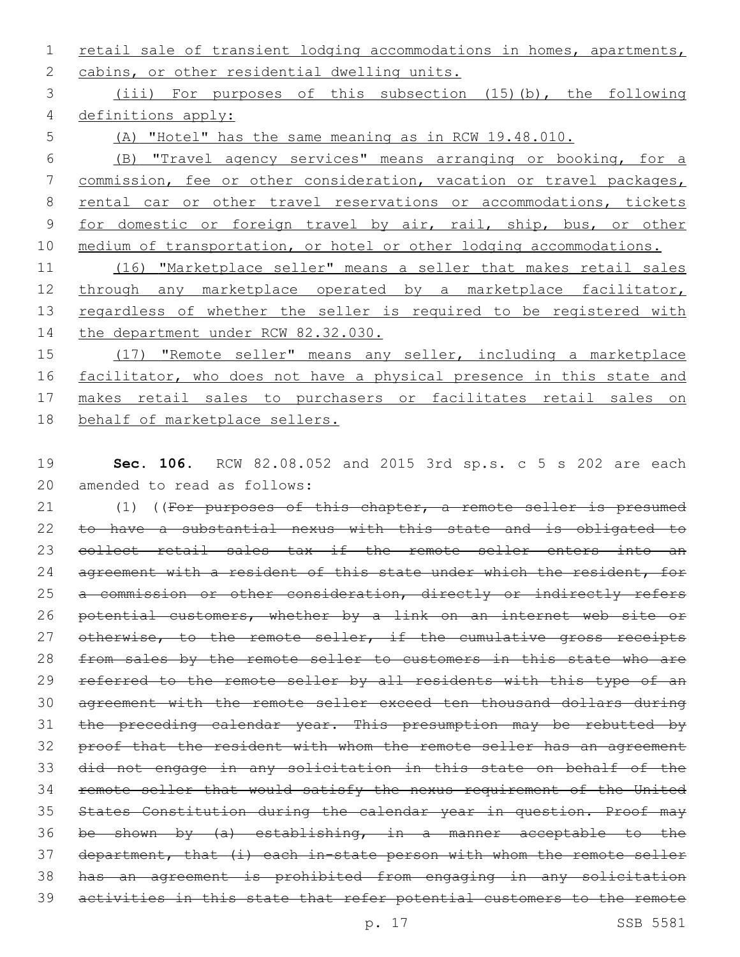1 retail sale of transient lodging accommodations in homes, apartments, 2 cabins, or other residential dwelling units.

3 (iii) For purposes of this subsection (15)(b), the following 4 definitions apply:

5 (A) "Hotel" has the same meaning as in RCW 19.48.010.

6 (B) "Travel agency services" means arranging or booking, for a 7 commission, fee or other consideration, vacation or travel packages, 8 rental car or other travel reservations or accommodations, tickets 9 for domestic or foreign travel by air, rail, ship, bus, or other 10 medium of transportation, or hotel or other lodging accommodations.

11 (16) "Marketplace seller" means a seller that makes retail sales 12 through any marketplace operated by a marketplace facilitator, 13 regardless of whether the seller is required to be registered with 14 the department under RCW 82.32.030.

15 (17) "Remote seller" means any seller, including a marketplace 16 facilitator, who does not have a physical presence in this state and 17 makes retail sales to purchasers or facilitates retail sales on 18 behalf of marketplace sellers.

19 **Sec. 106.** RCW 82.08.052 and 2015 3rd sp.s. c 5 s 202 are each 20 amended to read as follows:

21 (1) ((For purposes of this chapter, a remote seller is presumed 22 to have a substantial nexus with this state and is obligated to 23 collect retail sales tax if the remote seller enters into an 24 agreement with a resident of this state under which the resident, for 25 a commission or other consideration, directly or indirectly refers 26 potential customers, whether by a link on an internet web site or 27 otherwise, to the remote seller, if the cumulative gross receipts 28 from sales by the remote seller to customers in this state who are 29 referred to the remote seller by all residents with this type of an 30 agreement with the remote seller exceed ten thousand dollars during 31 the preceding calendar year. This presumption may be rebutted by 32 proof that the resident with whom the remote seller has an agreement 33 did not engage in any solicitation in this state on behalf of the 34 remote seller that would satisfy the nexus requirement of the United 35 States Constitution during the calendar year in question. Proof may 36 be shown by (a) establishing, in a manner acceptable to the 37 department, that (i) each in-state person with whom the remote seller 38 has an agreement is prohibited from engaging in any solicitation 39 activities in this state that refer potential customers to the remote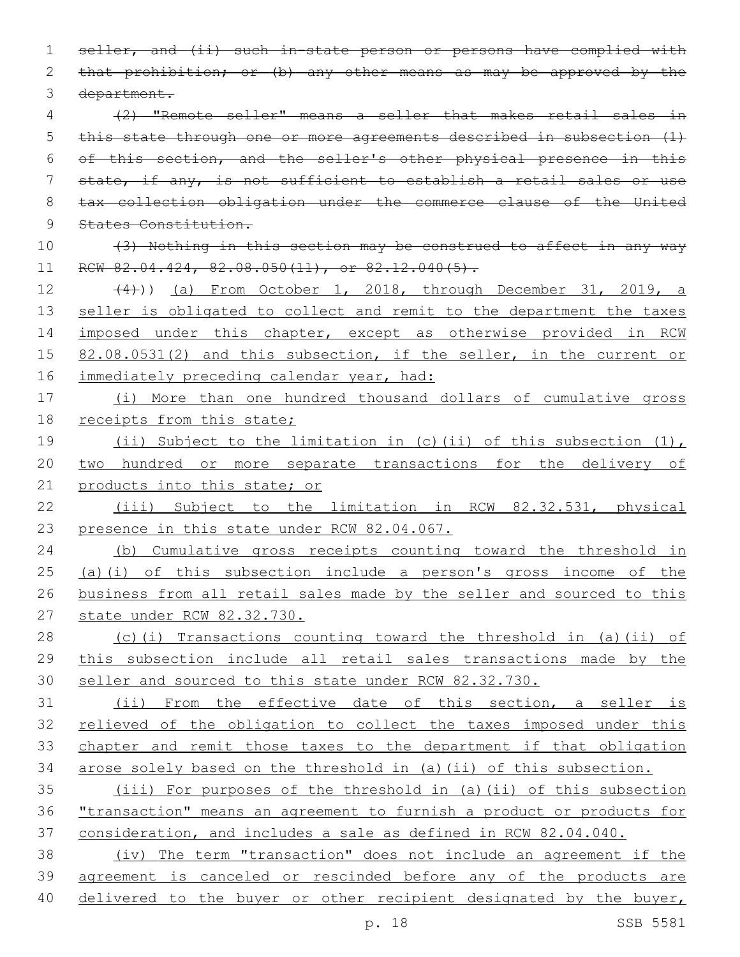seller, and (ii) such in-state person or persons have complied with 2 that prohibition; or (b) any other means as may be approved by the 3 department. (2) "Remote seller" means a seller that makes retail sales in this state through one or more agreements described in subsection (1) of this section, and the seller's other physical presence in this state, if any, is not sufficient to establish a retail sales or use tax collection obligation under the commerce clause of the United States Constitution. (3) Nothing in this section may be construed to affect in any way 11 RCW 82.04.424, 82.08.050(11), or 82.12.040(5).

 (4))) (a) From October 1, 2018, through December 31, 2019, a 13 seller is obligated to collect and remit to the department the taxes 14 imposed under this chapter, except as otherwise provided in RCW 15 82.08.0531(2) and this subsection, if the seller, in the current or 16 immediately preceding calendar year, had:

 (i) More than one hundred thousand dollars of cumulative gross 18 receipts from this state;

 (ii) Subject to the limitation in (c)(ii) of this subsection (1), two hundred or more separate transactions for the delivery of 21 products into this state; or

 (iii) Subject to the limitation in RCW 82.32.531, physical 23 presence in this state under RCW 82.04.067.

 (b) Cumulative gross receipts counting toward the threshold in (a)(i) of this subsection include a person's gross income of the business from all retail sales made by the seller and sourced to this state under RCW 82.32.730.

 (c)(i) Transactions counting toward the threshold in (a)(ii) of this subsection include all retail sales transactions made by the seller and sourced to this state under RCW 82.32.730.

 (ii) From the effective date of this section, a seller is 32 relieved of the obligation to collect the taxes imposed under this chapter and remit those taxes to the department if that obligation arose solely based on the threshold in (a)(ii) of this subsection.

 (iii) For purposes of the threshold in (a)(ii) of this subsection "transaction" means an agreement to furnish a product or products for consideration, and includes a sale as defined in RCW 82.04.040.

 (iv) The term "transaction" does not include an agreement if the agreement is canceled or rescinded before any of the products are 40 delivered to the buyer or other recipient designated by the buyer,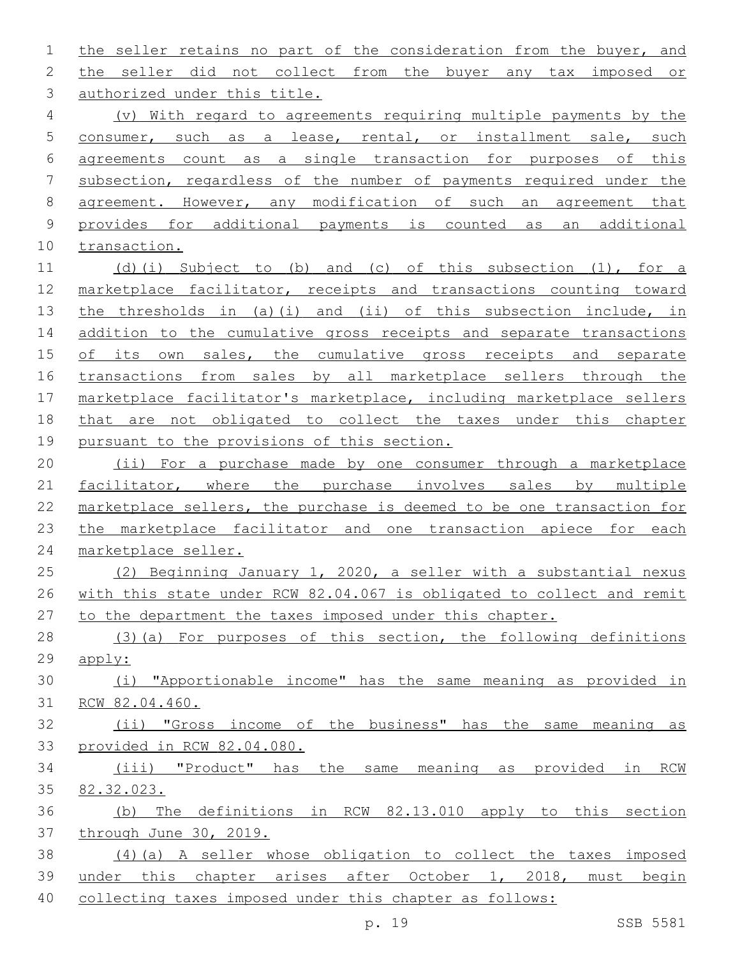the seller retains no part of the consideration from the buyer, and the seller did not collect from the buyer any tax imposed or 3 authorized under this title. (v) With regard to agreements requiring multiple payments by the consumer, such as a lease, rental, or installment sale, such agreements count as a single transaction for purposes of this subsection, regardless of the number of payments required under the agreement. However, any modification of such an agreement that provides for additional payments is counted as an additional transaction. (d)(i) Subject to (b) and (c) of this subsection (1), for a marketplace facilitator, receipts and transactions counting toward the thresholds in (a)(i) and (ii) of this subsection include, in 14 addition to the cumulative gross receipts and separate transactions 15 of its own sales, the cumulative gross receipts and separate transactions from sales by all marketplace sellers through the marketplace facilitator's marketplace, including marketplace sellers that are not obligated to collect the taxes under this chapter pursuant to the provisions of this section. (ii) For a purchase made by one consumer through a marketplace 21 facilitator, where the purchase involves sales by multiple marketplace sellers, the purchase is deemed to be one transaction for 23 the marketplace facilitator and one transaction apiece for each marketplace seller. (2) Beginning January 1, 2020, a seller with a substantial nexus with this state under RCW 82.04.067 is obligated to collect and remit to the department the taxes imposed under this chapter. (3)(a) For purposes of this section, the following definitions apply: (i) "Apportionable income" has the same meaning as provided in RCW 82.04.460. (ii) "Gross income of the business" has the same meaning as provided in RCW 82.04.080. (iii) "Product" has the same meaning as provided in RCW 82.32.023. (b) The definitions in RCW 82.13.010 apply to this section through June 30, 2019. (4)(a) A seller whose obligation to collect the taxes imposed under this chapter arises after October 1, 2018, must begin

collecting taxes imposed under this chapter as follows: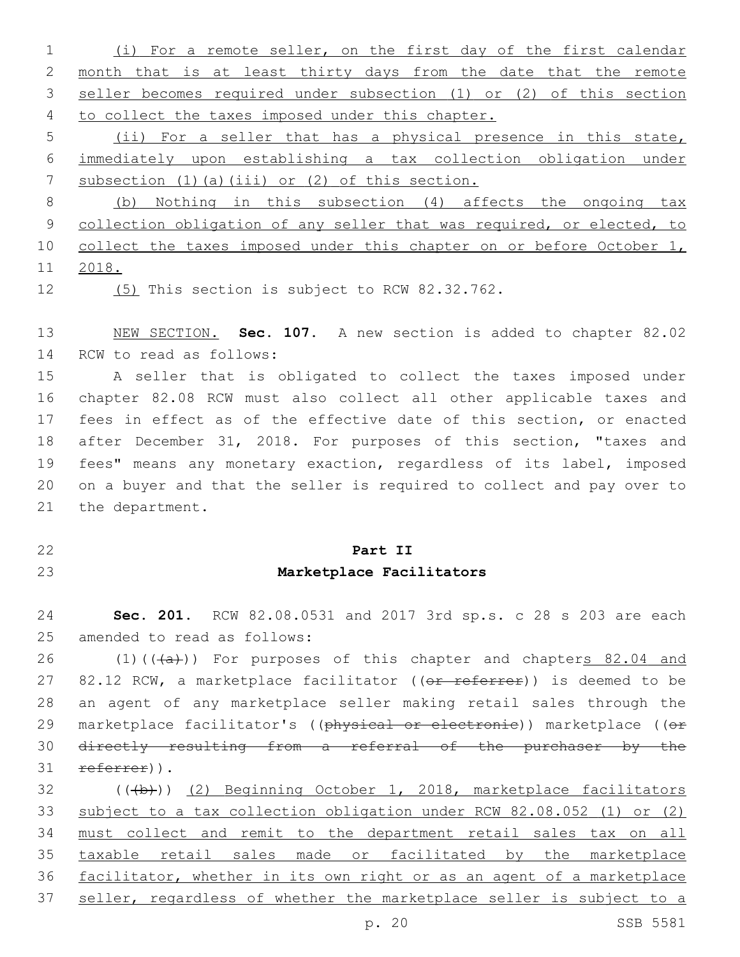(i) For a remote seller, on the first day of the first calendar month that is at least thirty days from the date that the remote seller becomes required under subsection (1) or (2) of this section 4 to collect the taxes imposed under this chapter.

 (ii) For a seller that has a physical presence in this state, immediately upon establishing a tax collection obligation under 7 subsection (1)(a)(iii) or (2) of this section.

 (b) Nothing in this subsection (4) affects the ongoing tax 9 collection obligation of any seller that was required, or elected, to 10 collect the taxes imposed under this chapter on or before October 1, 2018.

12 (5) This section is subject to RCW 82.32.762.

 NEW SECTION. **Sec. 107.** A new section is added to chapter 82.02 14 RCW to read as follows:

 A seller that is obligated to collect the taxes imposed under chapter 82.08 RCW must also collect all other applicable taxes and fees in effect as of the effective date of this section, or enacted after December 31, 2018. For purposes of this section, "taxes and fees" means any monetary exaction, regardless of its label, imposed on a buyer and that the seller is required to collect and pay over to 21 the department.

## **Part II**

## **Marketplace Facilitators**

 **Sec. 201.** RCW 82.08.0531 and 2017 3rd sp.s. c 28 s 203 are each 25 amended to read as follows:

26 (1)( $(\overline{a})$ ) For purposes of this chapter and chapters 82.04 and 27 82.12 RCW, a marketplace facilitator ((or referrer)) is deemed to be an agent of any marketplace seller making retail sales through the 29 marketplace facilitator's ((physical or electronie)) marketplace ((or directly resulting from a referral of the purchaser by the 31 referrer)).

32 (((b)) (2) Beginning October 1, 2018, marketplace facilitators subject to a tax collection obligation under RCW 82.08.052 (1) or (2) must collect and remit to the department retail sales tax on all taxable retail sales made or facilitated by the marketplace facilitator, whether in its own right or as an agent of a marketplace seller, regardless of whether the marketplace seller is subject to a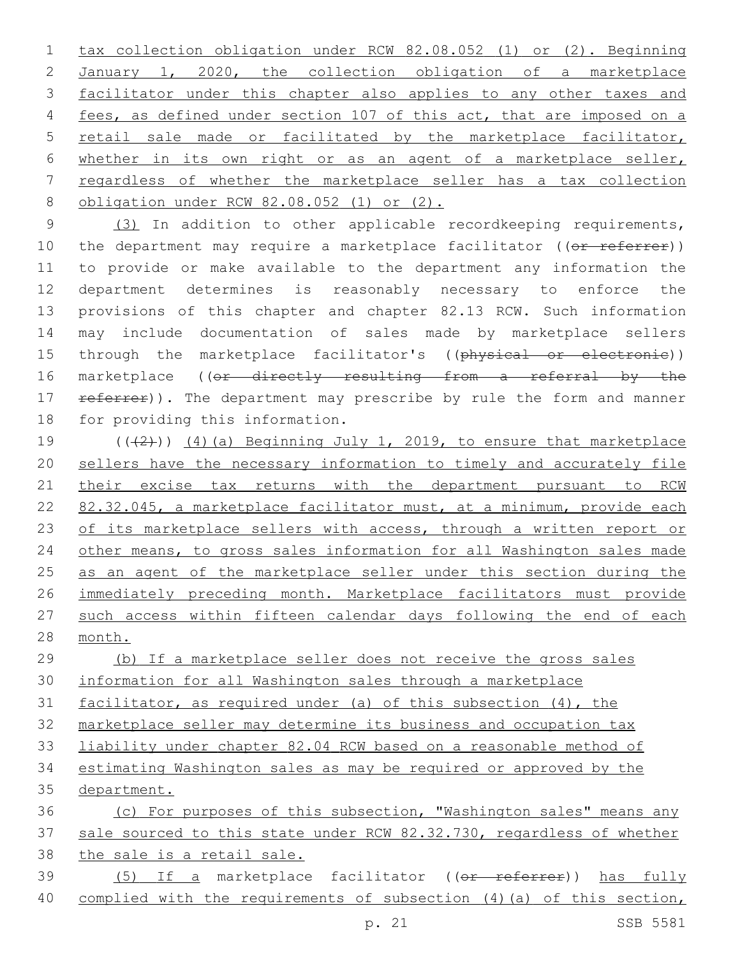tax collection obligation under RCW 82.08.052 (1) or (2). Beginning January 1, 2020, the collection obligation of a marketplace facilitator under this chapter also applies to any other taxes and fees, as defined under section 107 of this act, that are imposed on a retail sale made or facilitated by the marketplace facilitator, whether in its own right or as an agent of a marketplace seller, regardless of whether the marketplace seller has a tax collection 8 obligation under RCW 82.08.052 (1) or (2).

 (3) In addition to other applicable recordkeeping requirements, 10 the department may require a marketplace facilitator ((or referrer)) to provide or make available to the department any information the department determines is reasonably necessary to enforce the provisions of this chapter and chapter 82.13 RCW. Such information may include documentation of sales made by marketplace sellers 15 through the marketplace facilitator's ((physical or electronic)) 16 marketplace ((or directly resulting from a referral by the 17 referrer)). The department may prescribe by rule the form and manner 18 for providing this information.

19  $((+2))$   $(4)$  (a) Beginning July 1, 2019, to ensure that marketplace sellers have the necessary information to timely and accurately file 21 their excise tax returns with the department pursuant to RCW 82.32.045, a marketplace facilitator must, at a minimum, provide each 23 of its marketplace sellers with access, through a written report or 24 other means, to gross sales information for all Washington sales made as an agent of the marketplace seller under this section during the immediately preceding month. Marketplace facilitators must provide such access within fifteen calendar days following the end of each month.

 (b) If a marketplace seller does not receive the gross sales information for all Washington sales through a marketplace facilitator, as required under (a) of this subsection (4), the marketplace seller may determine its business and occupation tax liability under chapter 82.04 RCW based on a reasonable method of

 estimating Washington sales as may be required or approved by the department.

 (c) For purposes of this subsection, "Washington sales" means any sale sourced to this state under RCW 82.32.730, regardless of whether the sale is a retail sale. 39 (5) If a marketplace facilitator ((or referrer)) has fully

complied with the requirements of subsection (4)(a) of this section,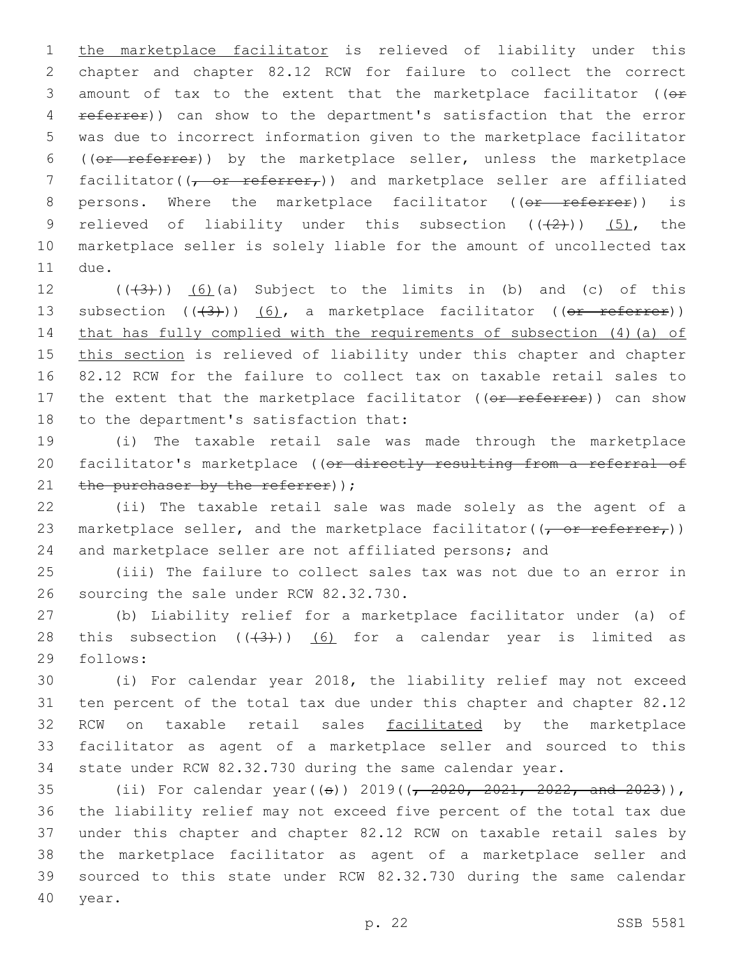1 the marketplace facilitator is relieved of liability under this 2 chapter and chapter 82.12 RCW for failure to collect the correct 3 amount of tax to the extent that the marketplace facilitator ( $(e<sup>F</sup>)$ 4 referrer)) can show to the department's satisfaction that the error 5 was due to incorrect information given to the marketplace facilitator 6 ((or referrer)) by the marketplace seller, unless the marketplace 7 facilitator( $(\tau$  or referrer,)) and marketplace seller are affiliated 8 persons. Where the marketplace facilitator ((or referrer)) is 9 relieved of liability under this subsection  $((+2+))$   $(5)$ , the 10 marketplace seller is solely liable for the amount of uncollected tax 11 due.

12  $((+3+))$   $(6)$  (a) Subject to the limits in (b) and (c) of this 13 subsection  $((+3))$   $(6)$ , a marketplace facilitator  $((0 + 1)(0))$ 14 that has fully complied with the requirements of subsection (4)(a) of 15 this section is relieved of liability under this chapter and chapter 16 82.12 RCW for the failure to collect tax on taxable retail sales to 17 the extent that the marketplace facilitator ((or referrer)) can show 18 to the department's satisfaction that:

19 (i) The taxable retail sale was made through the marketplace 20 facilitator's marketplace ((or directly resulting from a referral of 21 the purchaser by the referrer)  $\gamma$ ;

22 (ii) The taxable retail sale was made solely as the agent of a 23 marketplace seller, and the marketplace facilitator( $(\tau$  or referrer,)) 24 and marketplace seller are not affiliated persons; and

25 (iii) The failure to collect sales tax was not due to an error in 26 sourcing the sale under RCW 82.32.730.

27 (b) Liability relief for a marketplace facilitator under (a) of 28 this subsection  $((+3+))$  (6) for a calendar year is limited as 29 follows:

 (i) For calendar year 2018, the liability relief may not exceed ten percent of the total tax due under this chapter and chapter 82.12 32 RCW on taxable retail sales facilitated by the marketplace facilitator as agent of a marketplace seller and sourced to this state under RCW 82.32.730 during the same calendar year.

 (ii) For calendar year((s)) 2019((, 2020, 2021, 2022, and 2023)), the liability relief may not exceed five percent of the total tax due under this chapter and chapter 82.12 RCW on taxable retail sales by the marketplace facilitator as agent of a marketplace seller and sourced to this state under RCW 82.32.730 during the same calendar 40 year.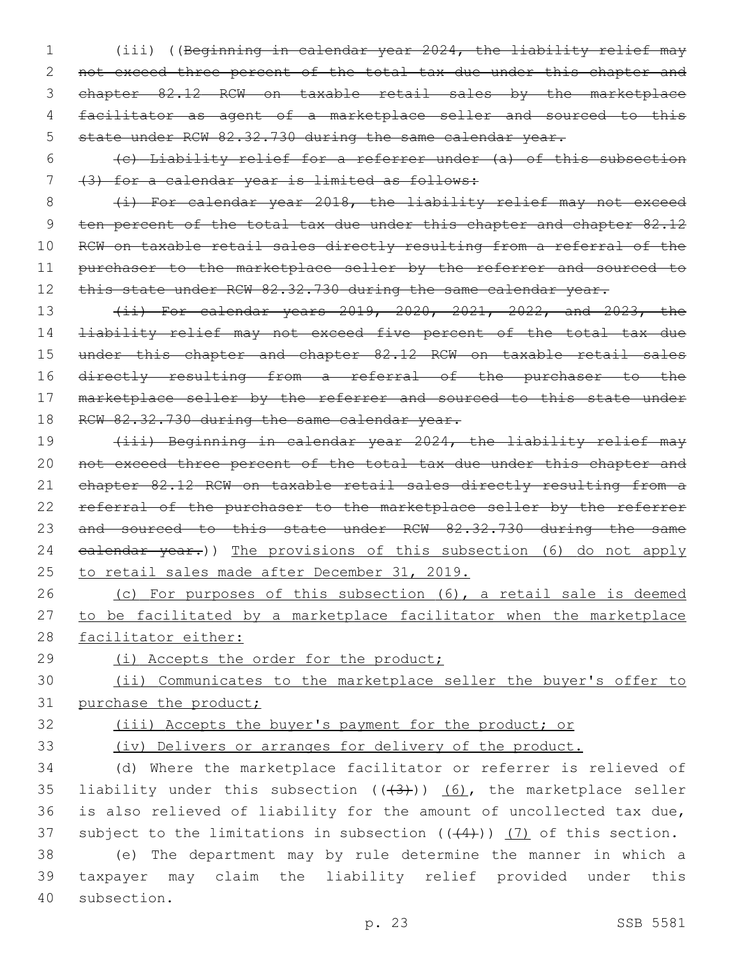- 1 (iii) ((Beginning in calendar year 2024, the liability relief may 2 not exceed three percent of the total tax due under this chapter and 3 chapter 82.12 RCW on taxable retail sales by the marketplace 4 facilitator as agent of a marketplace seller and sourced to this 5 state under RCW 82.32.730 during the same calendar year.
- 6 (c) Liability relief for a referrer under (a) of this subsection 7 (3) for a calendar year is limited as follows:

8 (i) For calendar year 2018, the liability relief may not exceed 9 ten percent of the total tax due under this chapter and chapter 82.12 10 RCW on taxable retail sales directly resulting from a referral of the 11 purchaser to the marketplace seller by the referrer and sourced to 12 this state under RCW 82.32.730 during the same calendar year.

13 (ii) For calendar years 2019, 2020, 2021, 2022, and 2023, the 14 liability relief may not exceed five percent of the total tax due 15 under this chapter and chapter 82.12 RCW on taxable retail sales 16 directly resulting from a referral of the purchaser to the 17 marketplace seller by the referrer and sourced to this state under 18 RCW 82.32.730 during the same calendar year.

19 (iii) Beginning in calendar year 2024, the liability relief may 20 not exceed three percent of the total tax due under this chapter and 21 chapter 82.12 RCW on taxable retail sales directly resulting from a 22 referral of the purchaser to the marketplace seller by the referrer 23 and sourced to this state under RCW 82.32.730 during the same 24 ealendar year.)) The provisions of this subsection (6) do not apply 25 to retail sales made after December 31, 2019.

26 (c) For purposes of this subsection (6), a retail sale is deemed 27 to be facilitated by a marketplace facilitator when the marketplace 28 facilitator either:

29 (i) Accepts the order for the product;

30 (ii) Communicates to the marketplace seller the buyer's offer to 31 purchase the product;

32 (iii) Accepts the buyer's payment for the product; or

33 (iv) Delivers or arranges for delivery of the product.

34 (d) Where the marketplace facilitator or referrer is relieved of 35 liability under this subsection  $((+3+))$   $(6)$ , the marketplace seller 36 is also relieved of liability for the amount of uncollected tax due, 37 subject to the limitations in subsection  $((+4))$  (7) of this section.

38 (e) The department may by rule determine the manner in which a 39 taxpayer may claim the liability relief provided under this 40 subsection.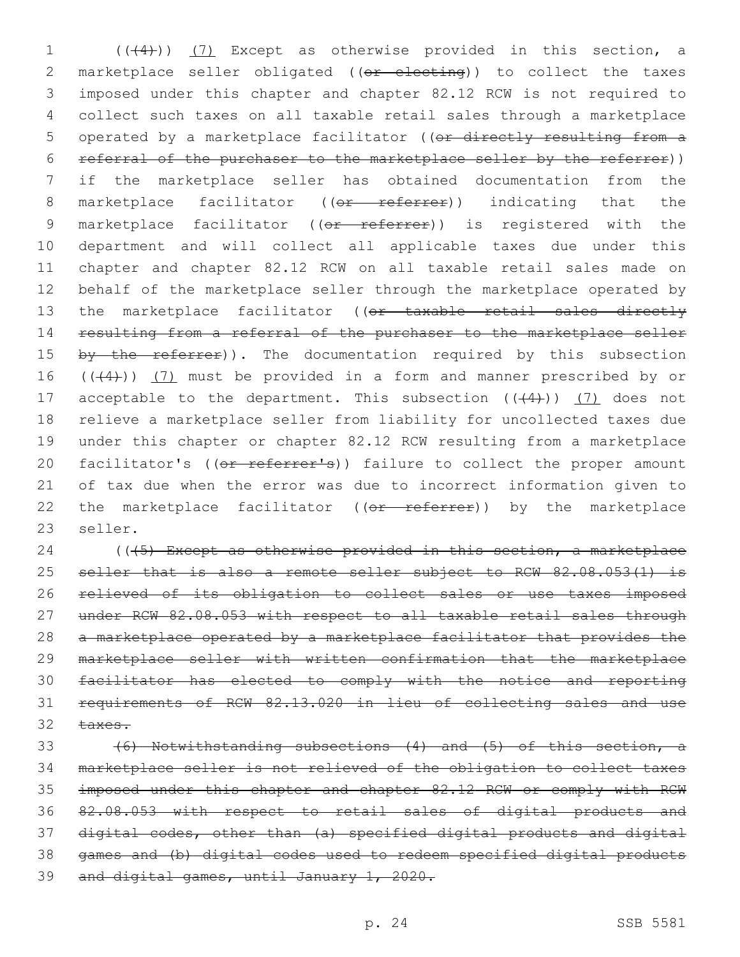1 (((4))) (7) Except as otherwise provided in this section, a 2 marketplace seller obligated ((or electing)) to collect the taxes 3 imposed under this chapter and chapter 82.12 RCW is not required to 4 collect such taxes on all taxable retail sales through a marketplace 5 operated by a marketplace facilitator ((or directly resulting from a 6 referral of the purchaser to the marketplace seller by the referrer)) 7 if the marketplace seller has obtained documentation from the 8 marketplace facilitator ((or referrer)) indicating that the 9 marketplace facilitator ((or referrer)) is registered with the 10 department and will collect all applicable taxes due under this 11 chapter and chapter 82.12 RCW on all taxable retail sales made on 12 behalf of the marketplace seller through the marketplace operated by 13 the marketplace facilitator ((or taxable retail sales directly 14 resulting from a referral of the purchaser to the marketplace seller 15 by the referrer)). The documentation required by this subsection 16  $((+4))$   $(7)$  must be provided in a form and manner prescribed by or 17 acceptable to the department. This subsection  $((+4))$  (7) does not 18 relieve a marketplace seller from liability for uncollected taxes due 19 under this chapter or chapter 82.12 RCW resulting from a marketplace 20 facilitator's ((or referrer's)) failure to collect the proper amount 21 of tax due when the error was due to incorrect information given to 22 the marketplace facilitator ((or referrer)) by the marketplace 23 seller.

24 ((45) Except as otherwise provided in this section, a marketplace 25 seller that is also a remote seller subject to RCW 82.08.053(1) is relieved of its obligation to collect sales or use taxes imposed under RCW 82.08.053 with respect to all taxable retail sales through a marketplace operated by a marketplace facilitator that provides the marketplace seller with written confirmation that the marketplace facilitator has elected to comply with the notice and reporting requirements of RCW 82.13.020 in lieu of collecting sales and use 32 taxes.

 (6) Notwithstanding subsections (4) and (5) of this section, a marketplace seller is not relieved of the obligation to collect taxes imposed under this chapter and chapter 82.12 RCW or comply with RCW 82.08.053 with respect to retail sales of digital products and digital codes, other than (a) specified digital products and digital games and (b) digital codes used to redeem specified digital products 39 and digital games, until January 1, 2020.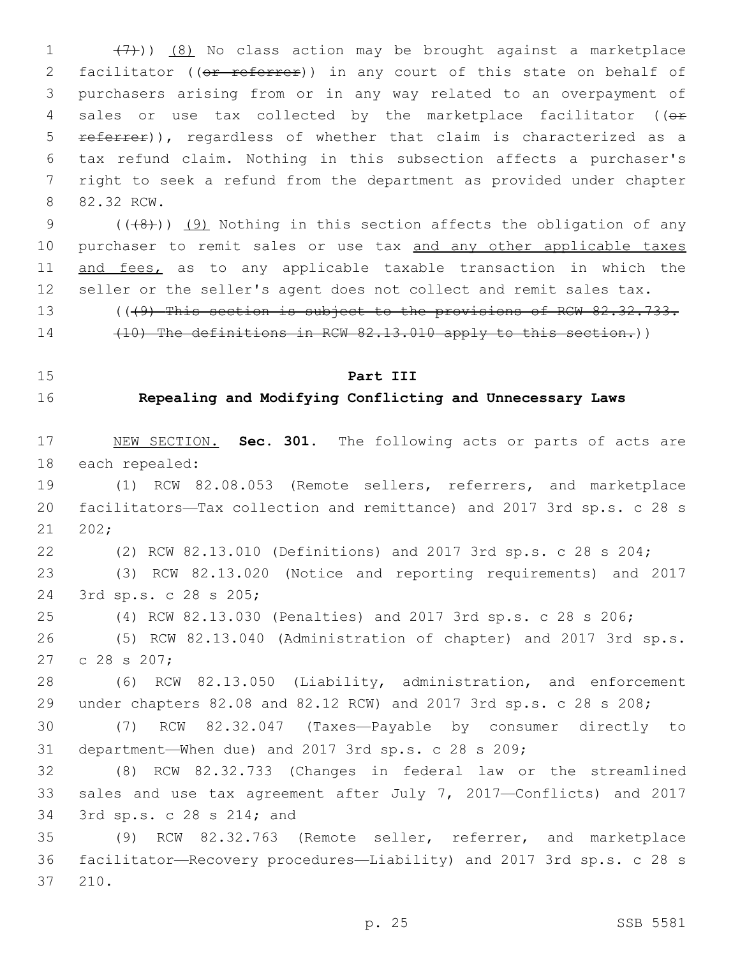1  $(7)$ )) (8) No class action may be brought against a marketplace 2 facilitator ((or referrer)) in any court of this state on behalf of purchasers arising from or in any way related to an overpayment of 4 sales or use tax collected by the marketplace facilitator (( $\theta$ r 5 referrer)), regardless of whether that claim is characterized as a tax refund claim. Nothing in this subsection affects a purchaser's right to seek a refund from the department as provided under chapter 8 82.32 RCW.

9  $((+8))$  (9) Nothing in this section affects the obligation of any 10 purchaser to remit sales or use tax and any other applicable taxes 11 and fees, as to any applicable taxable transaction in which the seller or the seller's agent does not collect and remit sales tax.

13 (((9) This section is subject to the provisions of RCW 82.32.733. (10) The definitions in RCW 82.13.010 apply to this section.))

## **Part III**

## **Repealing and Modifying Conflicting and Unnecessary Laws**

 NEW SECTION. **Sec. 301.** The following acts or parts of acts are each repealed:

 (1) RCW 82.08.053 (Remote sellers, referrers, and marketplace facilitators—Tax collection and remittance) and 2017 3rd sp.s. c 28 s 202;

(2) RCW 82.13.010 (Definitions) and 2017 3rd sp.s. c 28 s 204;

 (3) RCW 82.13.020 (Notice and reporting requirements) and 2017 3rd sp.s. c 28 s 205;24

(4) RCW 82.13.030 (Penalties) and 2017 3rd sp.s. c 28 s 206;

 (5) RCW 82.13.040 (Administration of chapter) and 2017 3rd sp.s. 27 c 28 s 207;

 (6) RCW 82.13.050 (Liability, administration, and enforcement under chapters 82.08 and 82.12 RCW) and 2017 3rd sp.s. c 28 s 208;

 (7) RCW 82.32.047 (Taxes—Payable by consumer directly to department—When due) and 2017 3rd sp.s. c 28 s 209;

 (8) RCW 82.32.733 (Changes in federal law or the streamlined sales and use tax agreement after July 7, 2017—Conflicts) and 2017 34 3rd sp.s. c 28 s 214; and

 (9) RCW 82.32.763 (Remote seller, referrer, and marketplace facilitator—Recovery procedures—Liability) and 2017 3rd sp.s. c 28 s 37 210.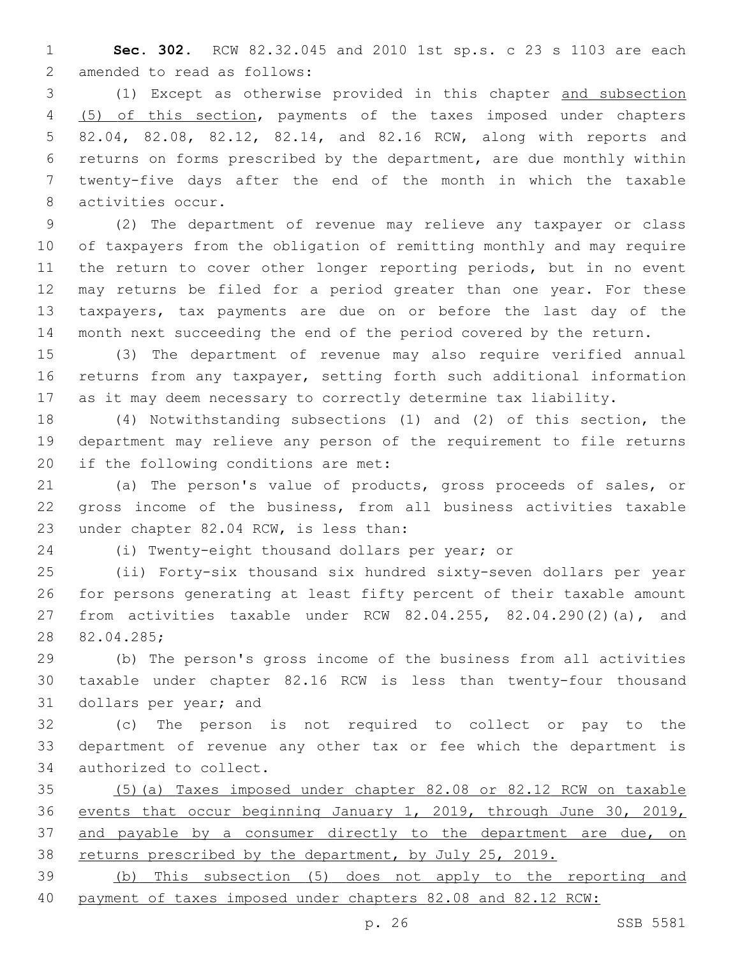**Sec. 302.** RCW 82.32.045 and 2010 1st sp.s. c 23 s 1103 are each 2 amended to read as follows:

 (1) Except as otherwise provided in this chapter and subsection (5) of this section, payments of the taxes imposed under chapters 82.04, 82.08, 82.12, 82.14, and 82.16 RCW, along with reports and returns on forms prescribed by the department, are due monthly within twenty-five days after the end of the month in which the taxable 8 activities occur.

 (2) The department of revenue may relieve any taxpayer or class of taxpayers from the obligation of remitting monthly and may require 11 the return to cover other longer reporting periods, but in no event may returns be filed for a period greater than one year. For these taxpayers, tax payments are due on or before the last day of the month next succeeding the end of the period covered by the return.

 (3) The department of revenue may also require verified annual returns from any taxpayer, setting forth such additional information as it may deem necessary to correctly determine tax liability.

 (4) Notwithstanding subsections (1) and (2) of this section, the department may relieve any person of the requirement to file returns 20 if the following conditions are met:

 (a) The person's value of products, gross proceeds of sales, or gross income of the business, from all business activities taxable 23 under chapter 82.04 RCW, is less than:

(i) Twenty-eight thousand dollars per year; or

 (ii) Forty-six thousand six hundred sixty-seven dollars per year for persons generating at least fifty percent of their taxable amount from activities taxable under RCW 82.04.255, 82.04.290(2)(a), and 28 82.04.285;

 (b) The person's gross income of the business from all activities taxable under chapter 82.16 RCW is less than twenty-four thousand 31 dollars per year; and

 (c) The person is not required to collect or pay to the department of revenue any other tax or fee which the department is 34 authorized to collect.

 (5)(a) Taxes imposed under chapter 82.08 or 82.12 RCW on taxable events that occur beginning January 1, 2019, through June 30, 2019, 37 and payable by a consumer directly to the department are due, on 38 returns prescribed by the department, by July 25, 2019.

 (b) This subsection (5) does not apply to the reporting and payment of taxes imposed under chapters 82.08 and 82.12 RCW: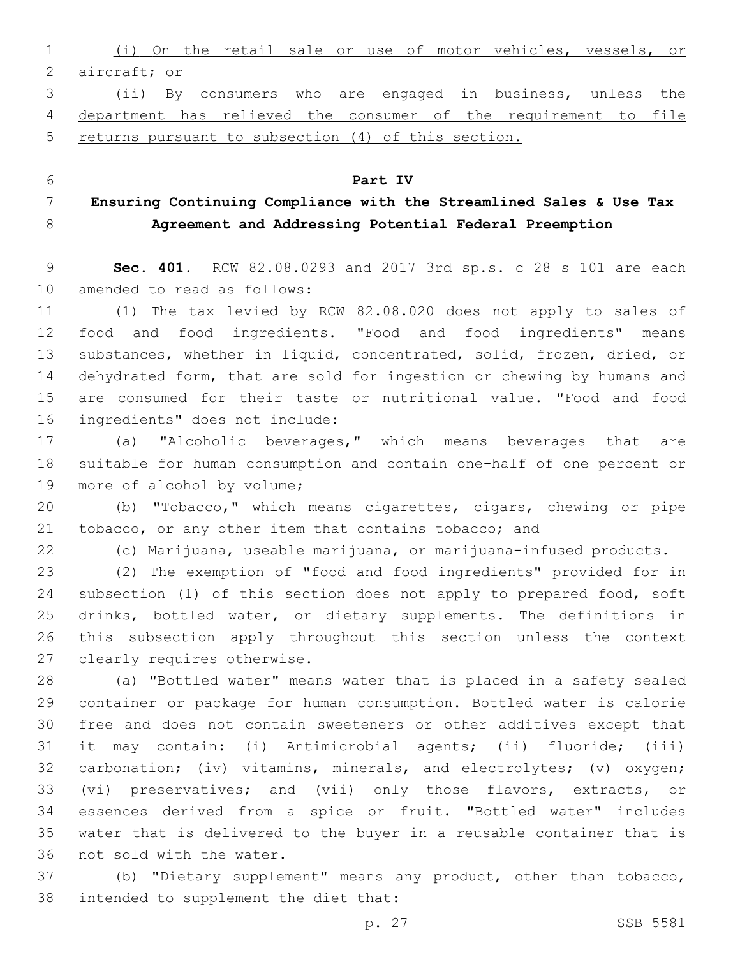(i) On the retail sale or use of motor vehicles, vessels, or aircraft; or (ii) By consumers who are engaged in business, unless the

 department has relieved the consumer of the requirement to file returns pursuant to subsection (4) of this section.

 **Ensuring Continuing Compliance with the Streamlined Sales & Use Tax Agreement and Addressing Potential Federal Preemption**

**Part IV**

 **Sec. 401.** RCW 82.08.0293 and 2017 3rd sp.s. c 28 s 101 are each 10 amended to read as follows:

 (1) The tax levied by RCW 82.08.020 does not apply to sales of food and food ingredients. "Food and food ingredients" means substances, whether in liquid, concentrated, solid, frozen, dried, or dehydrated form, that are sold for ingestion or chewing by humans and are consumed for their taste or nutritional value. "Food and food 16 ingredients" does not include:

 (a) "Alcoholic beverages," which means beverages that are suitable for human consumption and contain one-half of one percent or 19 more of alcohol by volume;

 (b) "Tobacco," which means cigarettes, cigars, chewing or pipe tobacco, or any other item that contains tobacco; and

(c) Marijuana, useable marijuana, or marijuana-infused products.

 (2) The exemption of "food and food ingredients" provided for in subsection (1) of this section does not apply to prepared food, soft drinks, bottled water, or dietary supplements. The definitions in this subsection apply throughout this section unless the context 27 clearly requires otherwise.

 (a) "Bottled water" means water that is placed in a safety sealed container or package for human consumption. Bottled water is calorie free and does not contain sweeteners or other additives except that it may contain: (i) Antimicrobial agents; (ii) fluoride; (iii) carbonation; (iv) vitamins, minerals, and electrolytes; (v) oxygen; (vi) preservatives; and (vii) only those flavors, extracts, or essences derived from a spice or fruit. "Bottled water" includes water that is delivered to the buyer in a reusable container that is 36 not sold with the water.

 (b) "Dietary supplement" means any product, other than tobacco, 38 intended to supplement the diet that: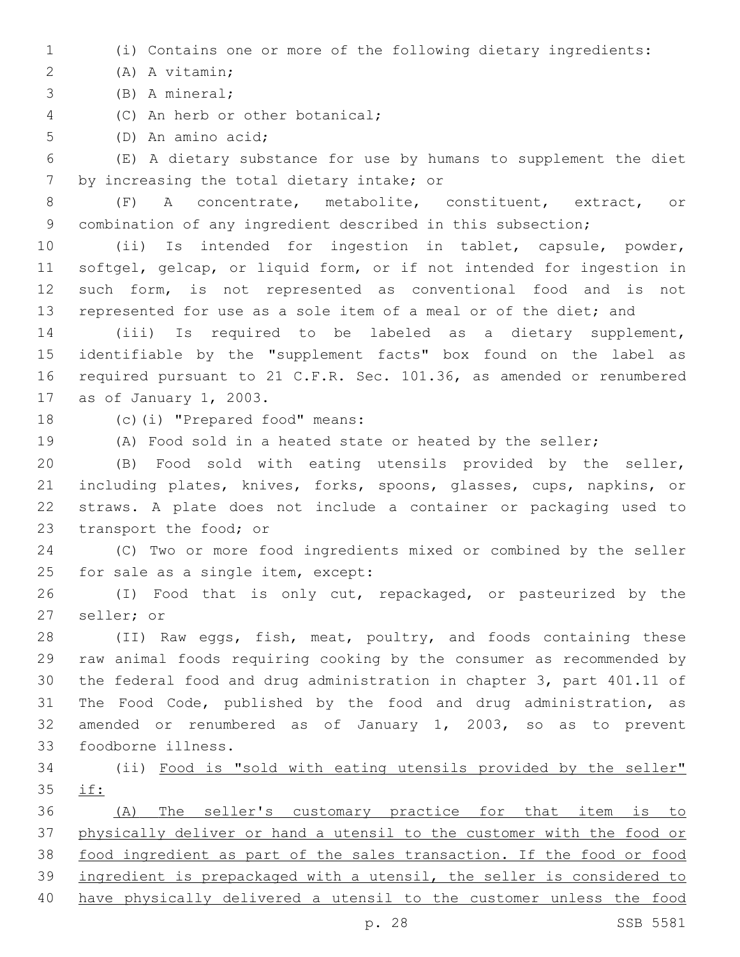(i) Contains one or more of the following dietary ingredients:

(A) A vitamin;2

(B) A mineral;3

4 (C) An herb or other botanical;

5 (D) An amino acid;

 (E) A dietary substance for use by humans to supplement the diet 7 by increasing the total dietary intake; or

 (F) A concentrate, metabolite, constituent, extract, or combination of any ingredient described in this subsection;

 (ii) Is intended for ingestion in tablet, capsule, powder, softgel, gelcap, or liquid form, or if not intended for ingestion in such form, is not represented as conventional food and is not represented for use as a sole item of a meal or of the diet; and

 (iii) Is required to be labeled as a dietary supplement, identifiable by the "supplement facts" box found on the label as required pursuant to 21 C.F.R. Sec. 101.36, as amended or renumbered 17 as of January 1, 2003.

18 (c)(i) "Prepared food" means:

(A) Food sold in a heated state or heated by the seller;

 (B) Food sold with eating utensils provided by the seller, including plates, knives, forks, spoons, glasses, cups, napkins, or straws. A plate does not include a container or packaging used to 23 transport the food; or

 (C) Two or more food ingredients mixed or combined by the seller 25 for sale as a single item, except:

 (I) Food that is only cut, repackaged, or pasteurized by the 27 seller; or

 (II) Raw eggs, fish, meat, poultry, and foods containing these raw animal foods requiring cooking by the consumer as recommended by the federal food and drug administration in chapter 3, part 401.11 of The Food Code, published by the food and drug administration, as amended or renumbered as of January 1, 2003, so as to prevent foodborne illness.33

 (ii) Food is "sold with eating utensils provided by the seller" if:

 (A) The seller's customary practice for that item is to physically deliver or hand a utensil to the customer with the food or food ingredient as part of the sales transaction. If the food or food ingredient is prepackaged with a utensil, the seller is considered to have physically delivered a utensil to the customer unless the food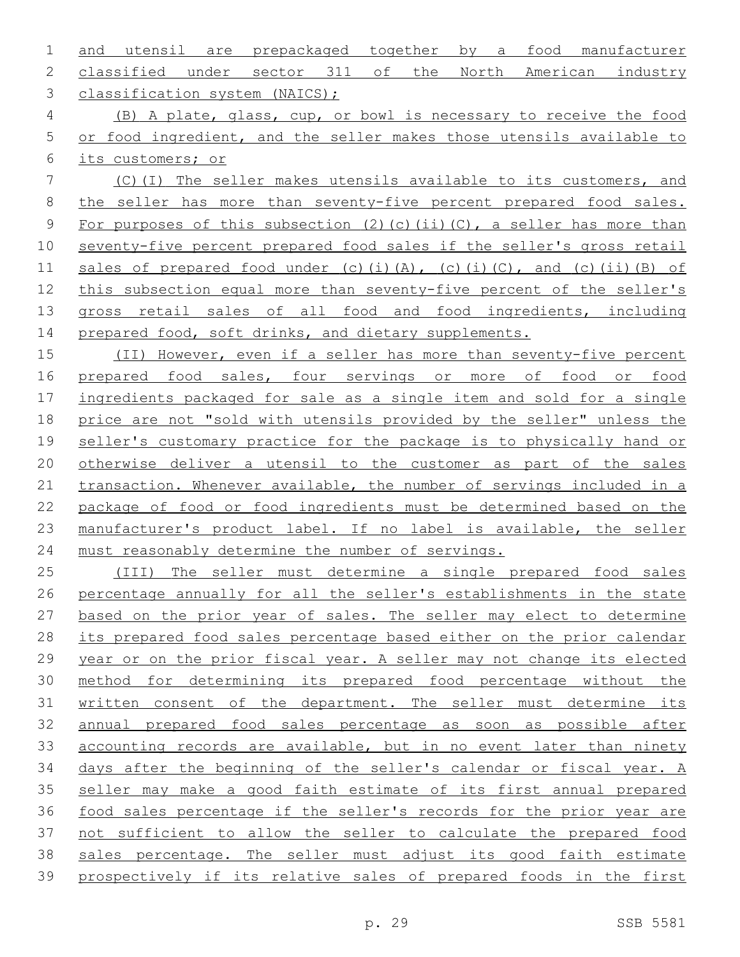and utensil are prepackaged together by a food manufacturer classified under sector 311 of the North American industry 3 classification system (NAICS);

 (B) A plate, glass, cup, or bowl is necessary to receive the food or food ingredient, and the seller makes those utensils available to its customers; or

 (C)(I) The seller makes utensils available to its customers, and the seller has more than seventy-five percent prepared food sales. 9 For purposes of this subsection (2)(c)(ii)(C), a seller has more than seventy-five percent prepared food sales if the seller's gross retail 11 sales of prepared food under (c)(i)(A), (c)(i)(C), and (c)(ii)(B) of this subsection equal more than seventy-five percent of the seller's gross retail sales of all food and food ingredients, including 14 prepared food, soft drinks, and dietary supplements.

 (II) However, even if a seller has more than seventy-five percent 16 prepared food sales, four servings or more of food or food ingredients packaged for sale as a single item and sold for a single price are not "sold with utensils provided by the seller" unless the seller's customary practice for the package is to physically hand or otherwise deliver a utensil to the customer as part of the sales 21 transaction. Whenever available, the number of servings included in a package of food or food ingredients must be determined based on the manufacturer's product label. If no label is available, the seller must reasonably determine the number of servings.

 (III) The seller must determine a single prepared food sales percentage annually for all the seller's establishments in the state based on the prior year of sales. The seller may elect to determine its prepared food sales percentage based either on the prior calendar year or on the prior fiscal year. A seller may not change its elected method for determining its prepared food percentage without the written consent of the department. The seller must determine its annual prepared food sales percentage as soon as possible after 33 accounting records are available, but in no event later than ninety days after the beginning of the seller's calendar or fiscal year. A seller may make a good faith estimate of its first annual prepared food sales percentage if the seller's records for the prior year are not sufficient to allow the seller to calculate the prepared food sales percentage. The seller must adjust its good faith estimate prospectively if its relative sales of prepared foods in the first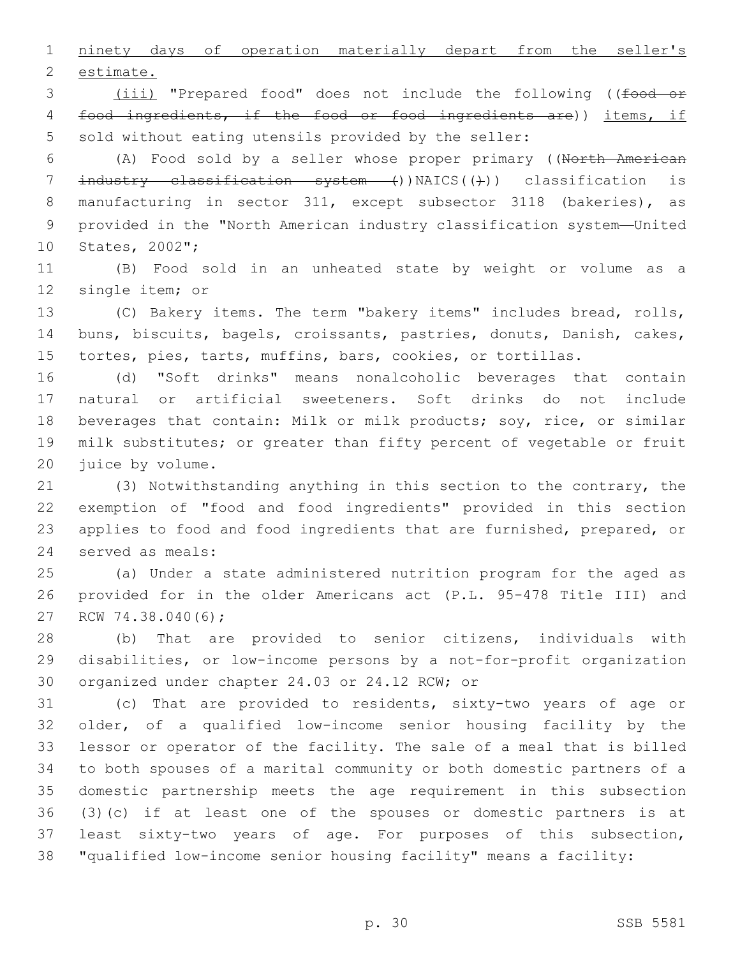ninety days of operation materially depart from the seller's 2 estimate.

3 (iii) "Prepared food" does not include the following ((food or food ingredients, if the food or food ingredients are)) items, if sold without eating utensils provided by the seller:

 (A) Food sold by a seller whose proper primary ((North American 7 industry classification system ())NAICS(())) classification is manufacturing in sector 311, except subsector 3118 (bakeries), as provided in the "North American industry classification system—United 10 States, 2002";

 (B) Food sold in an unheated state by weight or volume as a 12 single item; or

 (C) Bakery items. The term "bakery items" includes bread, rolls, buns, biscuits, bagels, croissants, pastries, donuts, Danish, cakes, tortes, pies, tarts, muffins, bars, cookies, or tortillas.

 (d) "Soft drinks" means nonalcoholic beverages that contain natural or artificial sweeteners. Soft drinks do not include beverages that contain: Milk or milk products; soy, rice, or similar milk substitutes; or greater than fifty percent of vegetable or fruit 20 juice by volume.

 (3) Notwithstanding anything in this section to the contrary, the exemption of "food and food ingredients" provided in this section applies to food and food ingredients that are furnished, prepared, or 24 served as meals:

 (a) Under a state administered nutrition program for the aged as provided for in the older Americans act (P.L. 95-478 Title III) and 27 RCW 74.38.040(6);

 (b) That are provided to senior citizens, individuals with disabilities, or low-income persons by a not-for-profit organization 30 organized under chapter 24.03 or 24.12 RCW; or

 (c) That are provided to residents, sixty-two years of age or older, of a qualified low-income senior housing facility by the lessor or operator of the facility. The sale of a meal that is billed to both spouses of a marital community or both domestic partners of a domestic partnership meets the age requirement in this subsection (3)(c) if at least one of the spouses or domestic partners is at least sixty-two years of age. For purposes of this subsection, "qualified low-income senior housing facility" means a facility: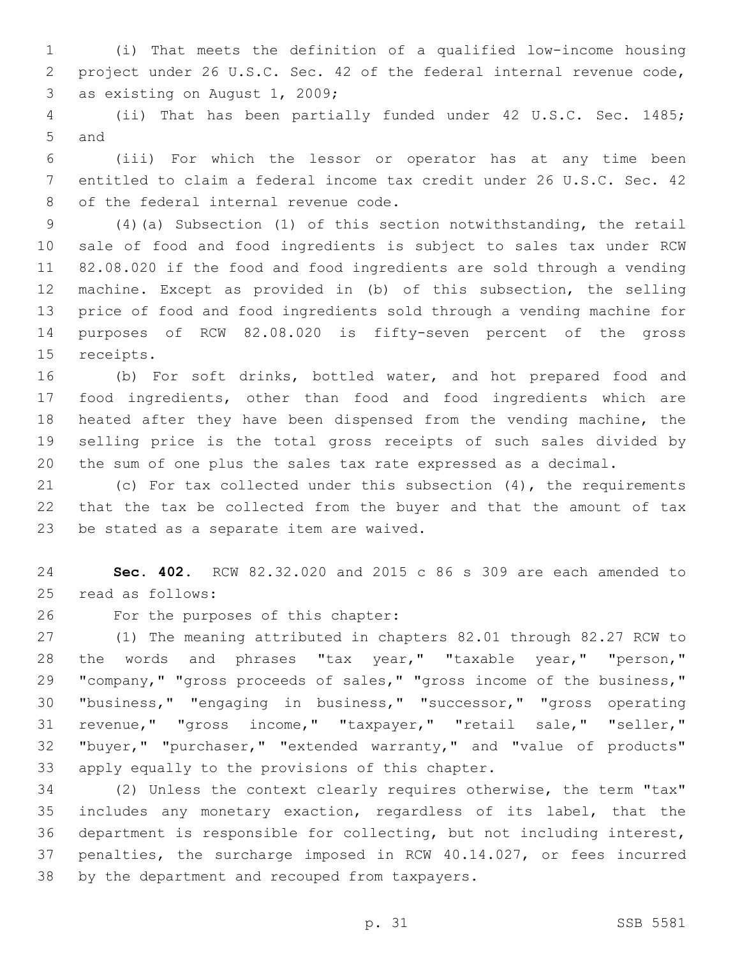(i) That meets the definition of a qualified low-income housing project under 26 U.S.C. Sec. 42 of the federal internal revenue code, 3 as existing on August 1, 2009;

 (ii) That has been partially funded under 42 U.S.C. Sec. 1485; 5 and

 (iii) For which the lessor or operator has at any time been entitled to claim a federal income tax credit under 26 U.S.C. Sec. 42 8 of the federal internal revenue code.

 (4)(a) Subsection (1) of this section notwithstanding, the retail sale of food and food ingredients is subject to sales tax under RCW 82.08.020 if the food and food ingredients are sold through a vending machine. Except as provided in (b) of this subsection, the selling price of food and food ingredients sold through a vending machine for purposes of RCW 82.08.020 is fifty-seven percent of the gross 15 receipts.

 (b) For soft drinks, bottled water, and hot prepared food and food ingredients, other than food and food ingredients which are heated after they have been dispensed from the vending machine, the selling price is the total gross receipts of such sales divided by the sum of one plus the sales tax rate expressed as a decimal.

 (c) For tax collected under this subsection (4), the requirements that the tax be collected from the buyer and that the amount of tax 23 be stated as a separate item are waived.

 **Sec. 402.** RCW 82.32.020 and 2015 c 86 s 309 are each amended to 25 read as follows:

26 For the purposes of this chapter:

 (1) The meaning attributed in chapters 82.01 through 82.27 RCW to the words and phrases "tax year," "taxable year," "person," "company," "gross proceeds of sales," "gross income of the business," "business," "engaging in business," "successor," "gross operating revenue," "gross income," "taxpayer," "retail sale," "seller," "buyer," "purchaser," "extended warranty," and "value of products" 33 apply equally to the provisions of this chapter.

 (2) Unless the context clearly requires otherwise, the term "tax" includes any monetary exaction, regardless of its label, that the department is responsible for collecting, but not including interest, penalties, the surcharge imposed in RCW 40.14.027, or fees incurred 38 by the department and recouped from taxpayers.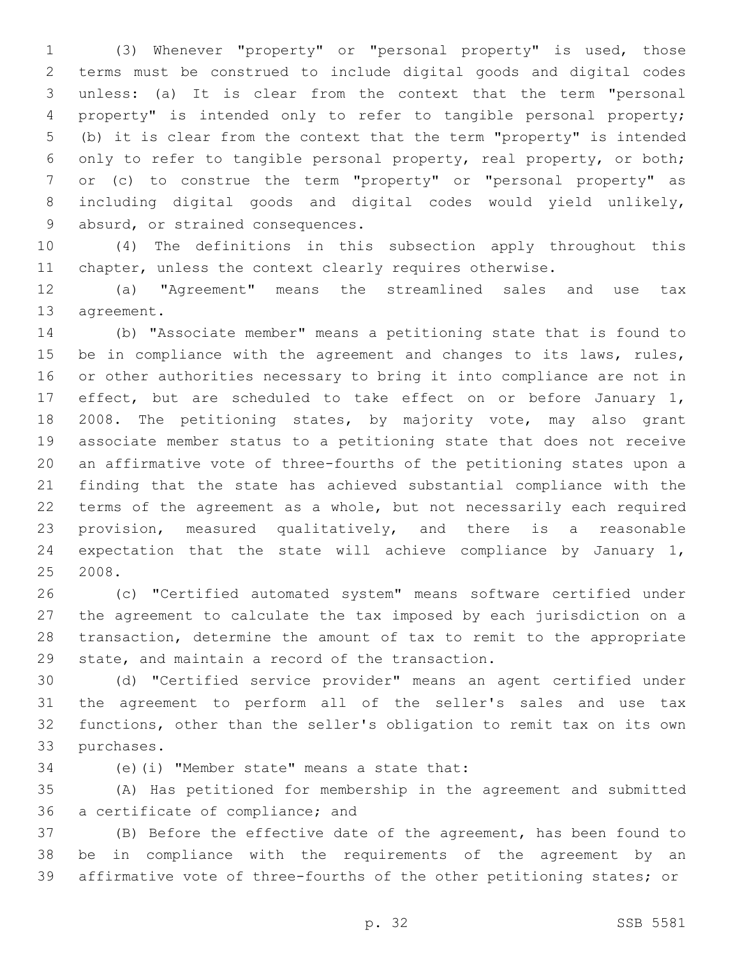(3) Whenever "property" or "personal property" is used, those terms must be construed to include digital goods and digital codes unless: (a) It is clear from the context that the term "personal property" is intended only to refer to tangible personal property; (b) it is clear from the context that the term "property" is intended only to refer to tangible personal property, real property, or both; or (c) to construe the term "property" or "personal property" as including digital goods and digital codes would yield unlikely, 9 absurd, or strained consequences.

 (4) The definitions in this subsection apply throughout this chapter, unless the context clearly requires otherwise.

 (a) "Agreement" means the streamlined sales and use tax 13 agreement.

 (b) "Associate member" means a petitioning state that is found to 15 be in compliance with the agreement and changes to its laws, rules, or other authorities necessary to bring it into compliance are not in effect, but are scheduled to take effect on or before January 1, 18 2008. The petitioning states, by majority vote, may also grant associate member status to a petitioning state that does not receive an affirmative vote of three-fourths of the petitioning states upon a finding that the state has achieved substantial compliance with the terms of the agreement as a whole, but not necessarily each required provision, measured qualitatively, and there is a reasonable expectation that the state will achieve compliance by January 1, 2008.

 (c) "Certified automated system" means software certified under the agreement to calculate the tax imposed by each jurisdiction on a transaction, determine the amount of tax to remit to the appropriate 29 state, and maintain a record of the transaction.

 (d) "Certified service provider" means an agent certified under the agreement to perform all of the seller's sales and use tax functions, other than the seller's obligation to remit tax on its own 33 purchases.

(e)(i) "Member state" means a state that:34

 (A) Has petitioned for membership in the agreement and submitted 36 a certificate of compliance; and

 (B) Before the effective date of the agreement, has been found to be in compliance with the requirements of the agreement by an affirmative vote of three-fourths of the other petitioning states; or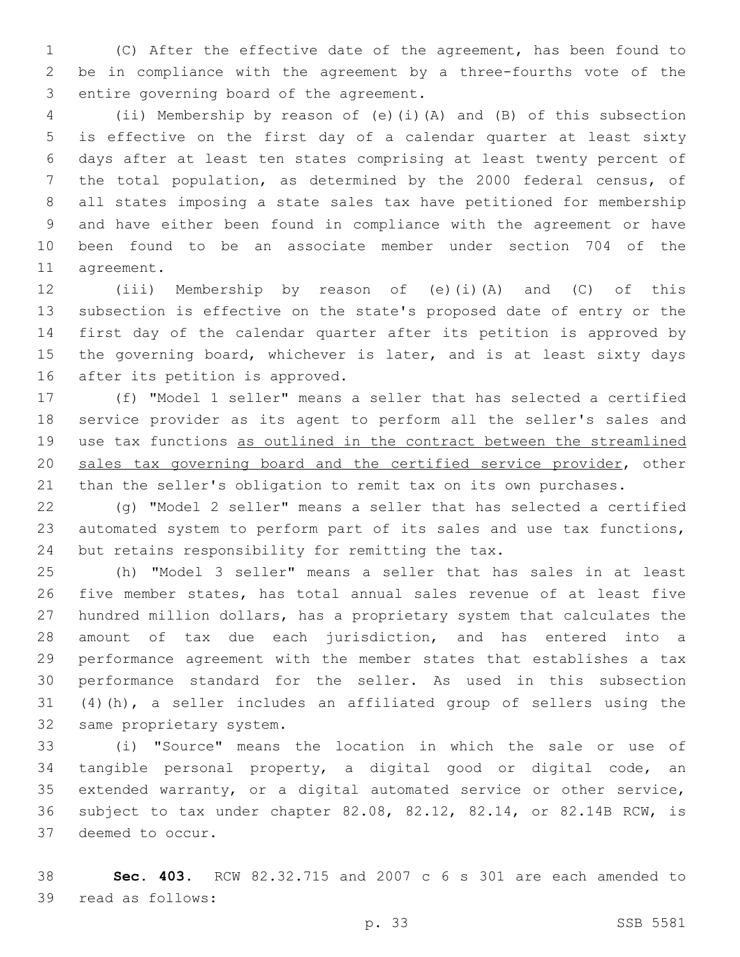(C) After the effective date of the agreement, has been found to be in compliance with the agreement by a three-fourths vote of the 3 entire governing board of the agreement.

 (ii) Membership by reason of (e)(i)(A) and (B) of this subsection is effective on the first day of a calendar quarter at least sixty days after at least ten states comprising at least twenty percent of the total population, as determined by the 2000 federal census, of all states imposing a state sales tax have petitioned for membership and have either been found in compliance with the agreement or have been found to be an associate member under section 704 of the 11 agreement.

 (iii) Membership by reason of (e)(i)(A) and (C) of this subsection is effective on the state's proposed date of entry or the first day of the calendar quarter after its petition is approved by 15 the governing board, whichever is later, and is at least sixty days 16 after its petition is approved.

 (f) "Model 1 seller" means a seller that has selected a certified service provider as its agent to perform all the seller's sales and use tax functions as outlined in the contract between the streamlined sales tax governing board and the certified service provider, other than the seller's obligation to remit tax on its own purchases.

 (g) "Model 2 seller" means a seller that has selected a certified automated system to perform part of its sales and use tax functions, 24 but retains responsibility for remitting the tax.

 (h) "Model 3 seller" means a seller that has sales in at least five member states, has total annual sales revenue of at least five hundred million dollars, has a proprietary system that calculates the amount of tax due each jurisdiction, and has entered into a performance agreement with the member states that establishes a tax performance standard for the seller. As used in this subsection (4)(h), a seller includes an affiliated group of sellers using the 32 same proprietary system.

 (i) "Source" means the location in which the sale or use of tangible personal property, a digital good or digital code, an extended warranty, or a digital automated service or other service, subject to tax under chapter 82.08, 82.12, 82.14, or 82.14B RCW, is 37 deemed to occur.

 **Sec. 403.** RCW 82.32.715 and 2007 c 6 s 301 are each amended to 39 read as follows: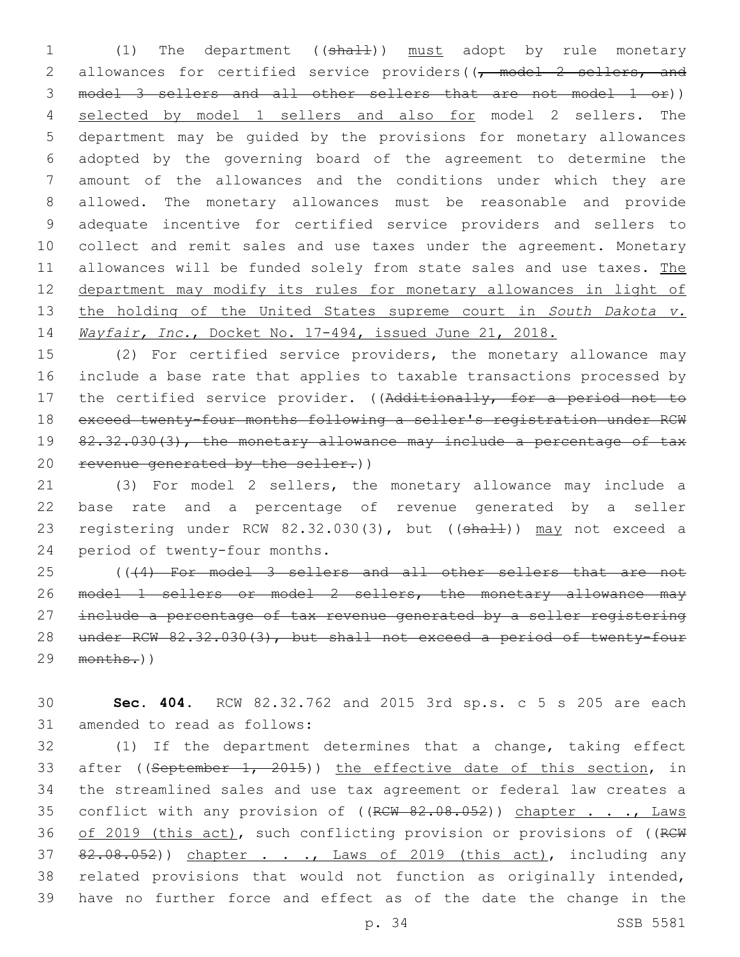1 (1) The department ((shall)) must adopt by rule monetary 2 allowances for certified service providers((<del>, model 2 sellers, and</del> model 3 sellers and all other sellers that are not model 1 or)) selected by model 1 sellers and also for model 2 sellers. The department may be guided by the provisions for monetary allowances adopted by the governing board of the agreement to determine the amount of the allowances and the conditions under which they are allowed. The monetary allowances must be reasonable and provide adequate incentive for certified service providers and sellers to collect and remit sales and use taxes under the agreement. Monetary 11 allowances will be funded solely from state sales and use taxes. The department may modify its rules for monetary allowances in light of the holding of the United States supreme court in *South Dakota v. Wayfair, Inc.*, Docket No. 17-494, issued June 21, 2018.

 (2) For certified service providers, the monetary allowance may include a base rate that applies to taxable transactions processed by 17 the certified service provider. ((Additionally, for a period not to exceed twenty-four months following a seller's registration under RCW 19 82.32.030(3), the monetary allowance may include a percentage of tax revenue generated by the seller.))

 (3) For model 2 sellers, the monetary allowance may include a base rate and a percentage of revenue generated by a seller 23 registering under RCW 82.32.030(3), but ((shall)) may not exceed a 24 period of twenty-four months.

 (((4) For model 3 sellers and all other sellers that are not model 1 sellers or model 2 sellers, the monetary allowance may include a percentage of tax revenue generated by a seller registering under RCW 82.32.030(3), but shall not exceed a period of twenty-four months.))

 **Sec. 404.** RCW 82.32.762 and 2015 3rd sp.s. c 5 s 205 are each 31 amended to read as follows:

 (1) If the department determines that a change, taking effect 33 after ((September 1, 2015)) the effective date of this section, in the streamlined sales and use tax agreement or federal law creates a 35 conflict with any provision of ((RCW 82.08.052)) chapter . . ., Laws 36 of 2019 (this act), such conflicting provision or provisions of ((RCW 37 82.08.052)) chapter . . ., Laws of 2019 (this act), including any related provisions that would not function as originally intended, have no further force and effect as of the date the change in the

p. 34 SSB 5581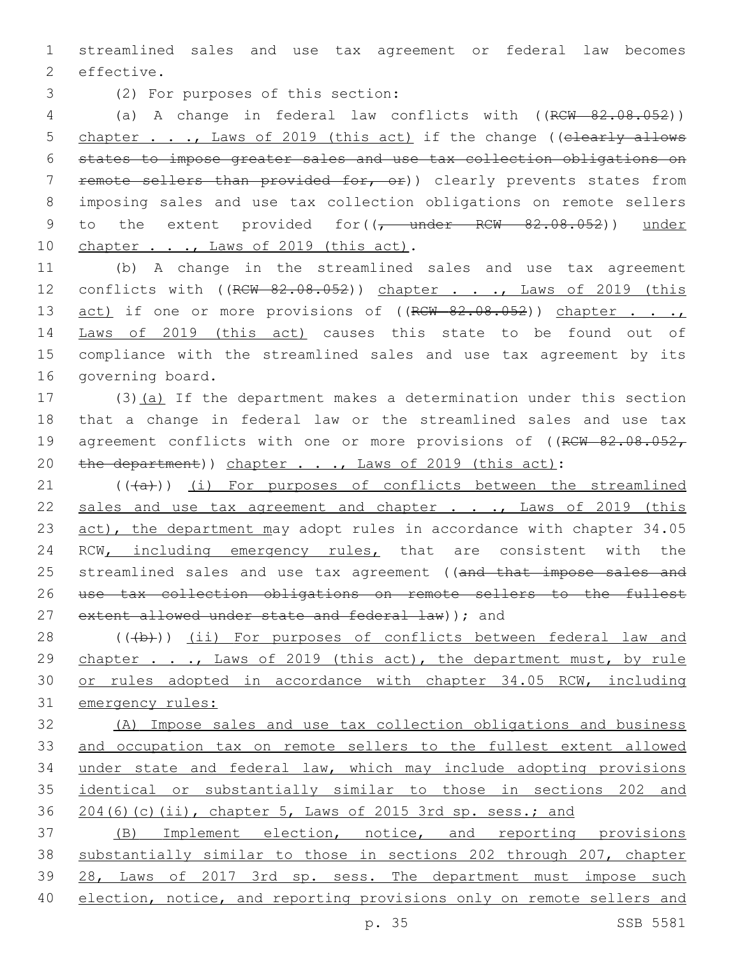1 streamlined sales and use tax agreement or federal law becomes 2 effective.

(2) For purposes of this section:3

4 (a) A change in federal law conflicts with ((RCW 82.08.052)) 5 chapter . . ., Laws of 2019 (this act) if the change ((elearly allows 6 states to impose greater sales and use tax collection obligations on 7 remote sellers than provided for, or)) clearly prevents states from 8 imposing sales and use tax collection obligations on remote sellers 9 to the extent provided for((<del>, under RCW 82.08.052</del>)) under 10 chapter . . ., Laws of 2019 (this act).

11 (b) A change in the streamlined sales and use tax agreement 12 conflicts with ((RCW 82.08.052)) chapter . . ., Laws of 2019 (this 13 act) if one or more provisions of ((RCW 82.08.052)) chapter . . . 14 Laws of 2019 (this act) causes this state to be found out of 15 compliance with the streamlined sales and use tax agreement by its 16 governing board.

17 (3)(a) If the department makes a determination under this section 18 that a change in federal law or the streamlined sales and use tax 19 agreement conflicts with one or more provisions of ((RCW 82.08.052, 20 the department)) chapter . . ., Laws of 2019 (this act):

21 (((+a))) (i) For purposes of conflicts between the streamlined 22 sales and use tax agreement and chapter . . ., Laws of 2019 (this 23 act), the department may adopt rules in accordance with chapter 34.05 24 RCW, including emergency rules, that are consistent with the 25 streamlined sales and use tax agreement ((and that impose sales and 26 use tax collection obligations on remote sellers to the fullest 27 extent allowed under state and federal law) ); and

28 (((b))) (ii) For purposes of conflicts between federal law and 29 chapter . . ., Laws of 2019 (this act), the department must, by rule 30 or rules adopted in accordance with chapter 34.05 RCW, including 31 emergency rules:

 (A) Impose sales and use tax collection obligations and business and occupation tax on remote sellers to the fullest extent allowed under state and federal law, which may include adopting provisions identical or substantially similar to those in sections 202 and 204(6)(c)(ii), chapter 5, Laws of 2015 3rd sp. sess.; and

 (B) Implement election, notice, and reporting provisions substantially similar to those in sections 202 through 207, chapter 28, Laws of 2017 3rd sp. sess. The department must impose such 40 election, notice, and reporting provisions only on remote sellers and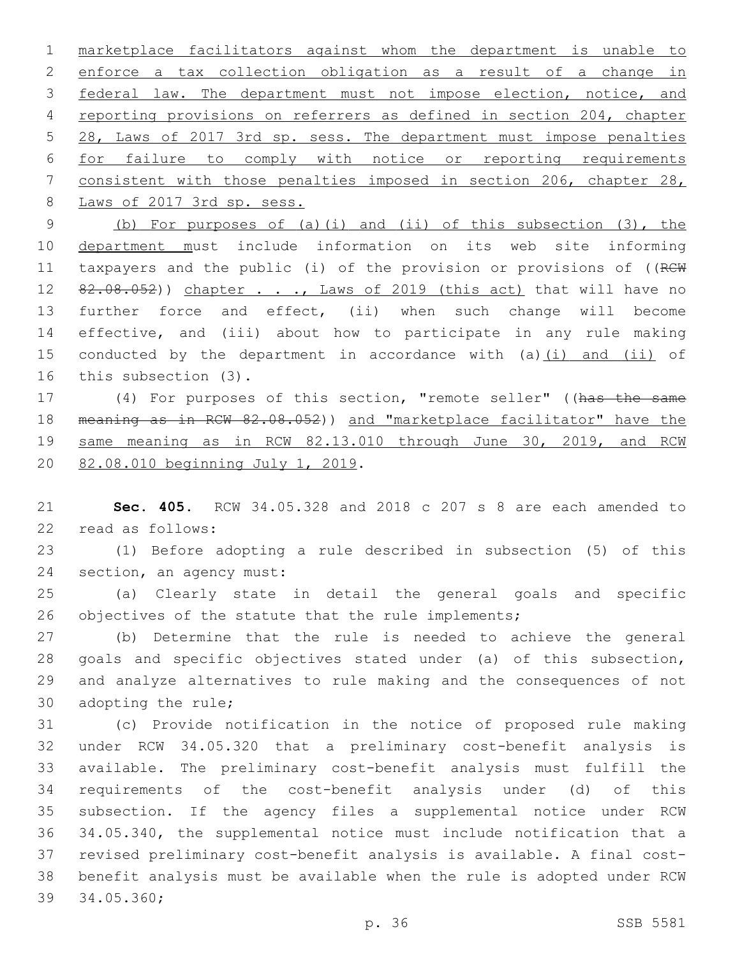marketplace facilitators against whom the department is unable to enforce a tax collection obligation as a result of a change in federal law. The department must not impose election, notice, and reporting provisions on referrers as defined in section 204, chapter 28, Laws of 2017 3rd sp. sess. The department must impose penalties for failure to comply with notice or reporting requirements consistent with those penalties imposed in section 206, chapter 28, 8 Laws of 2017 3rd sp. sess.

 (b) For purposes of (a)(i) and (ii) of this subsection (3), the department must include information on its web site informing 11 taxpayers and the public (i) of the provision or provisions of ((RCW 12 82.08.052)) chapter . . ., Laws of 2019 (this act) that will have no further force and effect, (ii) when such change will become effective, and (iii) about how to participate in any rule making 15 conducted by the department in accordance with (a) (i) and (ii) of 16 this subsection (3).

 (4) For purposes of this section, "remote seller" ((has the same meaning as in RCW 82.08.052)) and "marketplace facilitator" have the 19 same meaning as in RCW 82.13.010 through June 30, 2019, and RCW 20 82.08.010 beginning July 1, 2019.

 **Sec. 405.** RCW 34.05.328 and 2018 c 207 s 8 are each amended to read as follows:22

 (1) Before adopting a rule described in subsection (5) of this 24 section, an agency must:

 (a) Clearly state in detail the general goals and specific 26 objectives of the statute that the rule implements;

 (b) Determine that the rule is needed to achieve the general goals and specific objectives stated under (a) of this subsection, and analyze alternatives to rule making and the consequences of not 30 adopting the rule;

 (c) Provide notification in the notice of proposed rule making under RCW 34.05.320 that a preliminary cost-benefit analysis is available. The preliminary cost-benefit analysis must fulfill the requirements of the cost-benefit analysis under (d) of this subsection. If the agency files a supplemental notice under RCW 34.05.340, the supplemental notice must include notification that a revised preliminary cost-benefit analysis is available. A final cost- benefit analysis must be available when the rule is adopted under RCW 39 34.05.360;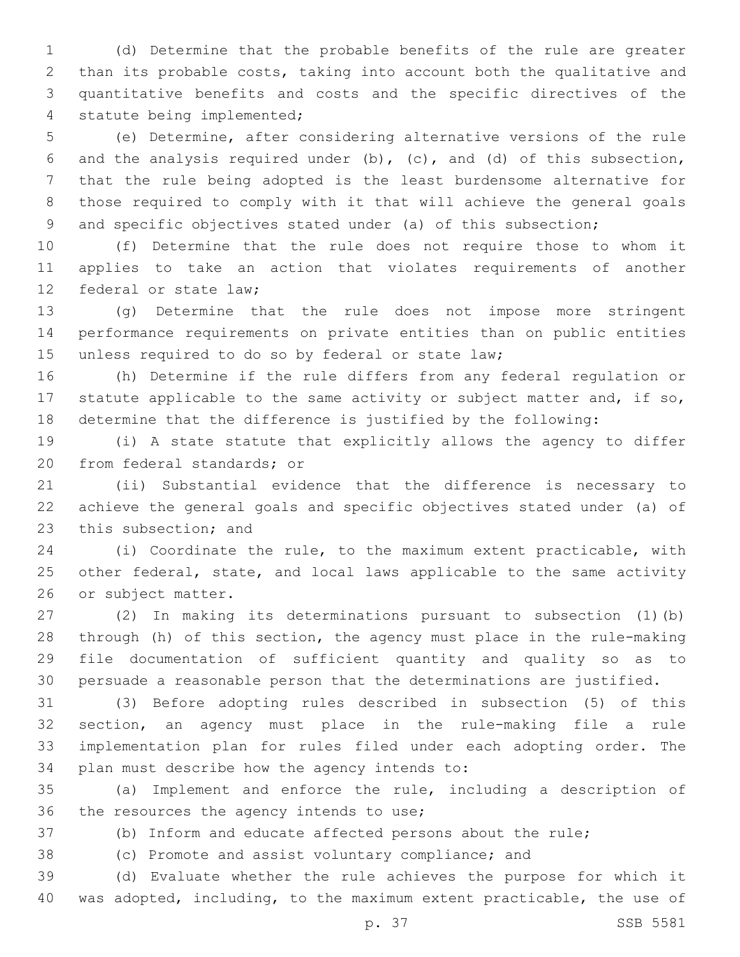(d) Determine that the probable benefits of the rule are greater than its probable costs, taking into account both the qualitative and quantitative benefits and costs and the specific directives of the 4 statute being implemented;

 (e) Determine, after considering alternative versions of the rule and the analysis required under (b), (c), and (d) of this subsection, that the rule being adopted is the least burdensome alternative for those required to comply with it that will achieve the general goals 9 and specific objectives stated under (a) of this subsection;

 (f) Determine that the rule does not require those to whom it applies to take an action that violates requirements of another 12 federal or state law:

 (g) Determine that the rule does not impose more stringent performance requirements on private entities than on public entities 15 unless required to do so by federal or state law;

 (h) Determine if the rule differs from any federal regulation or 17 statute applicable to the same activity or subject matter and, if so, determine that the difference is justified by the following:

 (i) A state statute that explicitly allows the agency to differ 20 from federal standards; or

 (ii) Substantial evidence that the difference is necessary to achieve the general goals and specific objectives stated under (a) of 23 this subsection; and

 (i) Coordinate the rule, to the maximum extent practicable, with other federal, state, and local laws applicable to the same activity 26 or subject matter.

 (2) In making its determinations pursuant to subsection (1)(b) through (h) of this section, the agency must place in the rule-making file documentation of sufficient quantity and quality so as to persuade a reasonable person that the determinations are justified.

 (3) Before adopting rules described in subsection (5) of this section, an agency must place in the rule-making file a rule implementation plan for rules filed under each adopting order. The 34 plan must describe how the agency intends to:

 (a) Implement and enforce the rule, including a description of 36 the resources the agency intends to use;

(b) Inform and educate affected persons about the rule;

(c) Promote and assist voluntary compliance; and

 (d) Evaluate whether the rule achieves the purpose for which it was adopted, including, to the maximum extent practicable, the use of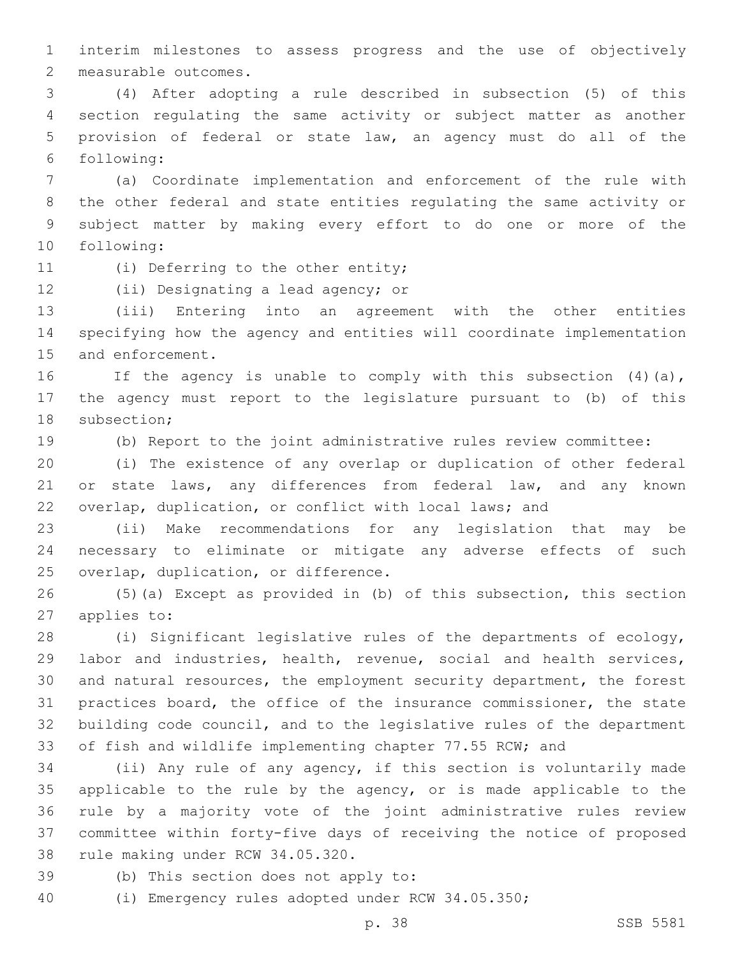interim milestones to assess progress and the use of objectively 2 measurable outcomes.

 (4) After adopting a rule described in subsection (5) of this section regulating the same activity or subject matter as another provision of federal or state law, an agency must do all of the following:6

 (a) Coordinate implementation and enforcement of the rule with the other federal and state entities regulating the same activity or subject matter by making every effort to do one or more of the 10 following:

11 (i) Deferring to the other entity;

12 (ii) Designating a lead agency; or

 (iii) Entering into an agreement with the other entities specifying how the agency and entities will coordinate implementation 15 and enforcement.

 If the agency is unable to comply with this subsection (4)(a), the agency must report to the legislature pursuant to (b) of this 18 subsection;

(b) Report to the joint administrative rules review committee:

 (i) The existence of any overlap or duplication of other federal 21 or state laws, any differences from federal law, and any known overlap, duplication, or conflict with local laws; and

 (ii) Make recommendations for any legislation that may be necessary to eliminate or mitigate any adverse effects of such 25 overlap, duplication, or difference.

 (5)(a) Except as provided in (b) of this subsection, this section 27 applies to:

 (i) Significant legislative rules of the departments of ecology, labor and industries, health, revenue, social and health services, and natural resources, the employment security department, the forest practices board, the office of the insurance commissioner, the state building code council, and to the legislative rules of the department of fish and wildlife implementing chapter 77.55 RCW; and

 (ii) Any rule of any agency, if this section is voluntarily made applicable to the rule by the agency, or is made applicable to the rule by a majority vote of the joint administrative rules review committee within forty-five days of receiving the notice of proposed 38 rule making under RCW 34.05.320.

39 (b) This section does not apply to:

(i) Emergency rules adopted under RCW 34.05.350;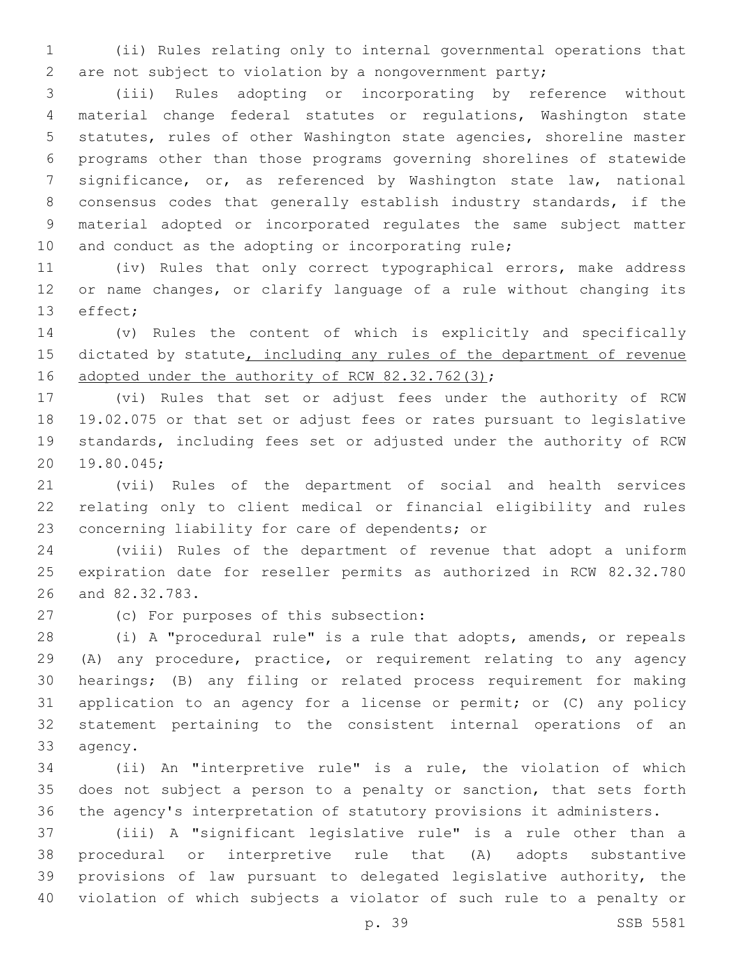(ii) Rules relating only to internal governmental operations that are not subject to violation by a nongovernment party;

 (iii) Rules adopting or incorporating by reference without material change federal statutes or regulations, Washington state statutes, rules of other Washington state agencies, shoreline master programs other than those programs governing shorelines of statewide significance, or, as referenced by Washington state law, national consensus codes that generally establish industry standards, if the material adopted or incorporated regulates the same subject matter 10 and conduct as the adopting or incorporating rule;

 (iv) Rules that only correct typographical errors, make address or name changes, or clarify language of a rule without changing its 13 effect;

 (v) Rules the content of which is explicitly and specifically 15 dictated by statute, including any rules of the department of revenue 16 adopted under the authority of RCW 82.32.762(3);

 (vi) Rules that set or adjust fees under the authority of RCW 19.02.075 or that set or adjust fees or rates pursuant to legislative standards, including fees set or adjusted under the authority of RCW 19.80.045;20

 (vii) Rules of the department of social and health services relating only to client medical or financial eligibility and rules 23 concerning liability for care of dependents; or

 (viii) Rules of the department of revenue that adopt a uniform expiration date for reseller permits as authorized in RCW 82.32.780 26 and 82.32.783.

27 (c) For purposes of this subsection:

 (i) A "procedural rule" is a rule that adopts, amends, or repeals (A) any procedure, practice, or requirement relating to any agency hearings; (B) any filing or related process requirement for making application to an agency for a license or permit; or (C) any policy statement pertaining to the consistent internal operations of an 33 agency.

 (ii) An "interpretive rule" is a rule, the violation of which does not subject a person to a penalty or sanction, that sets forth the agency's interpretation of statutory provisions it administers.

 (iii) A "significant legislative rule" is a rule other than a procedural or interpretive rule that (A) adopts substantive provisions of law pursuant to delegated legislative authority, the violation of which subjects a violator of such rule to a penalty or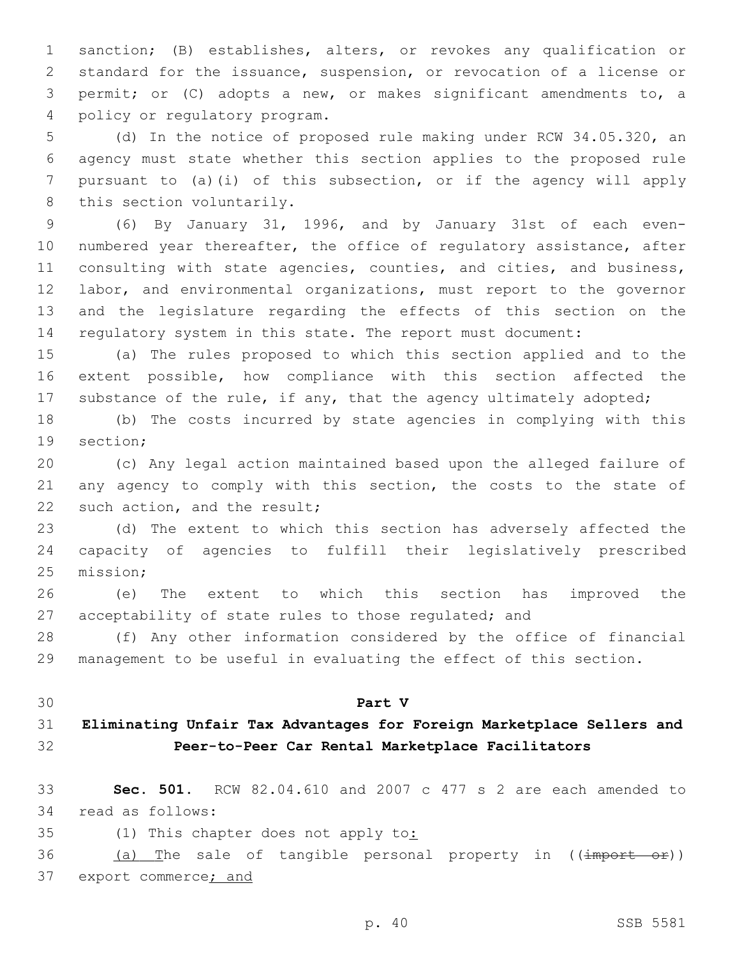sanction; (B) establishes, alters, or revokes any qualification or standard for the issuance, suspension, or revocation of a license or permit; or (C) adopts a new, or makes significant amendments to, a 4 policy or regulatory program.

 (d) In the notice of proposed rule making under RCW 34.05.320, an agency must state whether this section applies to the proposed rule pursuant to (a)(i) of this subsection, or if the agency will apply 8 this section voluntarily.

 (6) By January 31, 1996, and by January 31st of each even-10 numbered year thereafter, the office of regulatory assistance, after consulting with state agencies, counties, and cities, and business, labor, and environmental organizations, must report to the governor and the legislature regarding the effects of this section on the regulatory system in this state. The report must document:

 (a) The rules proposed to which this section applied and to the extent possible, how compliance with this section affected the 17 substance of the rule, if any, that the agency ultimately adopted;

 (b) The costs incurred by state agencies in complying with this 19 section:

 (c) Any legal action maintained based upon the alleged failure of 21 any agency to comply with this section, the costs to the state of 22 such action, and the result;

 (d) The extent to which this section has adversely affected the capacity of agencies to fulfill their legislatively prescribed 25 mission;

 (e) The extent to which this section has improved the acceptability of state rules to those regulated; and

 (f) Any other information considered by the office of financial management to be useful in evaluating the effect of this section.

#### **Part V**

# **Eliminating Unfair Tax Advantages for Foreign Marketplace Sellers and Peer-to-Peer Car Rental Marketplace Facilitators**

 **Sec. 501.** RCW 82.04.610 and 2007 c 477 s 2 are each amended to 34 read as follows:

35 (1) This chapter does not apply to:

36 (a) The sale of tangible personal property in ((import or)) 37 export commerce; and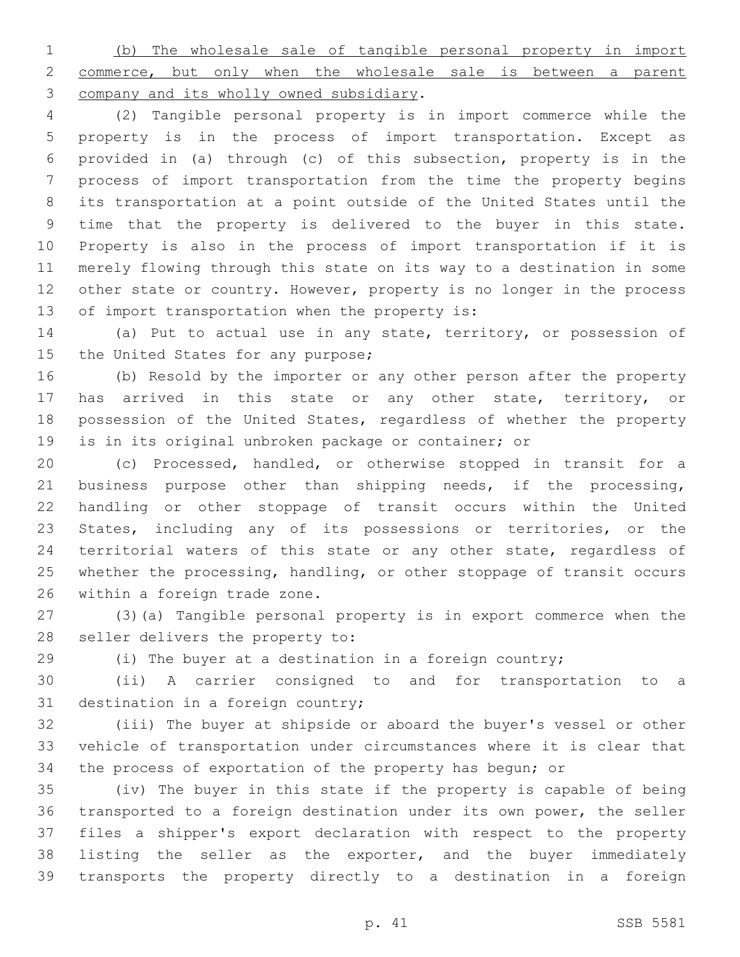(b) The wholesale sale of tangible personal property in import commerce, but only when the wholesale sale is between a parent 3 company and its wholly owned subsidiary.

 (2) Tangible personal property is in import commerce while the property is in the process of import transportation. Except as provided in (a) through (c) of this subsection, property is in the process of import transportation from the time the property begins its transportation at a point outside of the United States until the time that the property is delivered to the buyer in this state. Property is also in the process of import transportation if it is merely flowing through this state on its way to a destination in some other state or country. However, property is no longer in the process 13 of import transportation when the property is:

 (a) Put to actual use in any state, territory, or possession of 15 the United States for any purpose;

 (b) Resold by the importer or any other person after the property 17 has arrived in this state or any other state, territory, or possession of the United States, regardless of whether the property is in its original unbroken package or container; or

 (c) Processed, handled, or otherwise stopped in transit for a business purpose other than shipping needs, if the processing, handling or other stoppage of transit occurs within the United States, including any of its possessions or territories, or the territorial waters of this state or any other state, regardless of whether the processing, handling, or other stoppage of transit occurs 26 within a foreign trade zone.

 (3)(a) Tangible personal property is in export commerce when the 28 seller delivers the property to:

(i) The buyer at a destination in a foreign country;

 (ii) A carrier consigned to and for transportation to a 31 destination in a foreign country;

 (iii) The buyer at shipside or aboard the buyer's vessel or other vehicle of transportation under circumstances where it is clear that the process of exportation of the property has begun; or

 (iv) The buyer in this state if the property is capable of being transported to a foreign destination under its own power, the seller files a shipper's export declaration with respect to the property listing the seller as the exporter, and the buyer immediately transports the property directly to a destination in a foreign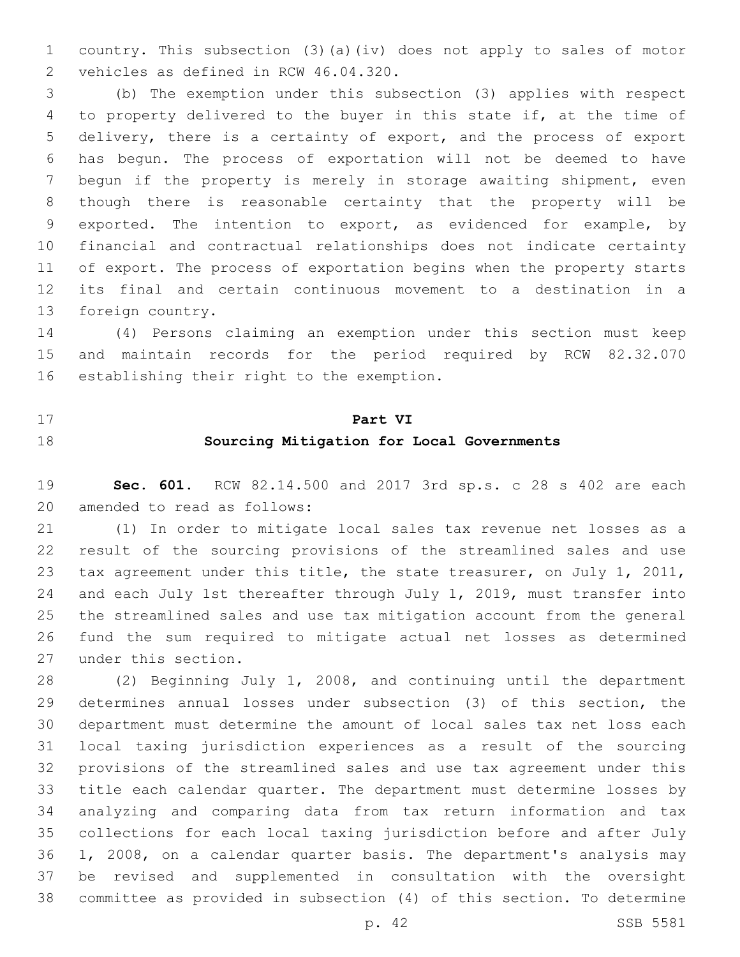country. This subsection (3)(a)(iv) does not apply to sales of motor 2 vehicles as defined in RCW 46.04.320.

 (b) The exemption under this subsection (3) applies with respect to property delivered to the buyer in this state if, at the time of delivery, there is a certainty of export, and the process of export has begun. The process of exportation will not be deemed to have begun if the property is merely in storage awaiting shipment, even though there is reasonable certainty that the property will be exported. The intention to export, as evidenced for example, by financial and contractual relationships does not indicate certainty of export. The process of exportation begins when the property starts its final and certain continuous movement to a destination in a 13 foreign country.

 (4) Persons claiming an exemption under this section must keep and maintain records for the period required by RCW 82.32.070 16 establishing their right to the exemption.

# **Part VI Sourcing Mitigation for Local Governments**

 **Sec. 601.** RCW 82.14.500 and 2017 3rd sp.s. c 28 s 402 are each 20 amended to read as follows:

 (1) In order to mitigate local sales tax revenue net losses as a result of the sourcing provisions of the streamlined sales and use 23 tax agreement under this title, the state treasurer, on July 1, 2011, and each July 1st thereafter through July 1, 2019, must transfer into the streamlined sales and use tax mitigation account from the general fund the sum required to mitigate actual net losses as determined 27 under this section.

 (2) Beginning July 1, 2008, and continuing until the department determines annual losses under subsection (3) of this section, the department must determine the amount of local sales tax net loss each local taxing jurisdiction experiences as a result of the sourcing provisions of the streamlined sales and use tax agreement under this title each calendar quarter. The department must determine losses by analyzing and comparing data from tax return information and tax collections for each local taxing jurisdiction before and after July 1, 2008, on a calendar quarter basis. The department's analysis may be revised and supplemented in consultation with the oversight committee as provided in subsection (4) of this section. To determine

p. 42 SSB 5581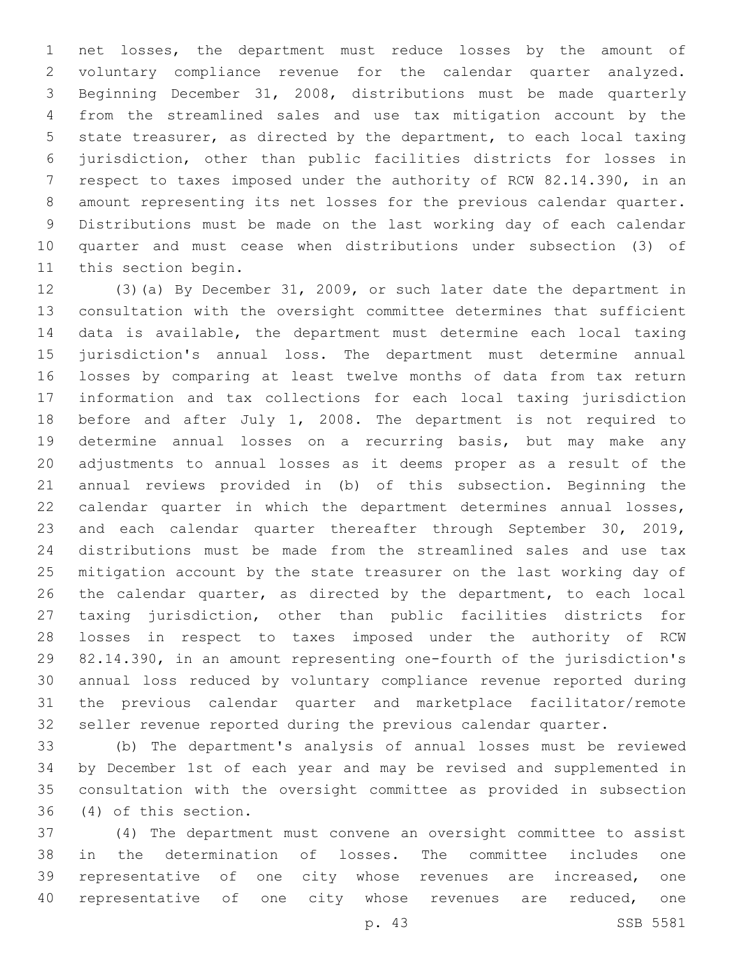net losses, the department must reduce losses by the amount of voluntary compliance revenue for the calendar quarter analyzed. Beginning December 31, 2008, distributions must be made quarterly from the streamlined sales and use tax mitigation account by the state treasurer, as directed by the department, to each local taxing jurisdiction, other than public facilities districts for losses in respect to taxes imposed under the authority of RCW 82.14.390, in an amount representing its net losses for the previous calendar quarter. Distributions must be made on the last working day of each calendar quarter and must cease when distributions under subsection (3) of 11 this section begin.

 (3)(a) By December 31, 2009, or such later date the department in consultation with the oversight committee determines that sufficient data is available, the department must determine each local taxing jurisdiction's annual loss. The department must determine annual losses by comparing at least twelve months of data from tax return information and tax collections for each local taxing jurisdiction 18 before and after July 1, 2008. The department is not required to determine annual losses on a recurring basis, but may make any adjustments to annual losses as it deems proper as a result of the annual reviews provided in (b) of this subsection. Beginning the calendar quarter in which the department determines annual losses, and each calendar quarter thereafter through September 30, 2019, distributions must be made from the streamlined sales and use tax mitigation account by the state treasurer on the last working day of 26 the calendar quarter, as directed by the department, to each local taxing jurisdiction, other than public facilities districts for losses in respect to taxes imposed under the authority of RCW 82.14.390, in an amount representing one-fourth of the jurisdiction's annual loss reduced by voluntary compliance revenue reported during the previous calendar quarter and marketplace facilitator/remote seller revenue reported during the previous calendar quarter.

 (b) The department's analysis of annual losses must be reviewed by December 1st of each year and may be revised and supplemented in consultation with the oversight committee as provided in subsection (4) of this section.36

 (4) The department must convene an oversight committee to assist in the determination of losses. The committee includes one representative of one city whose revenues are increased, one representative of one city whose revenues are reduced, one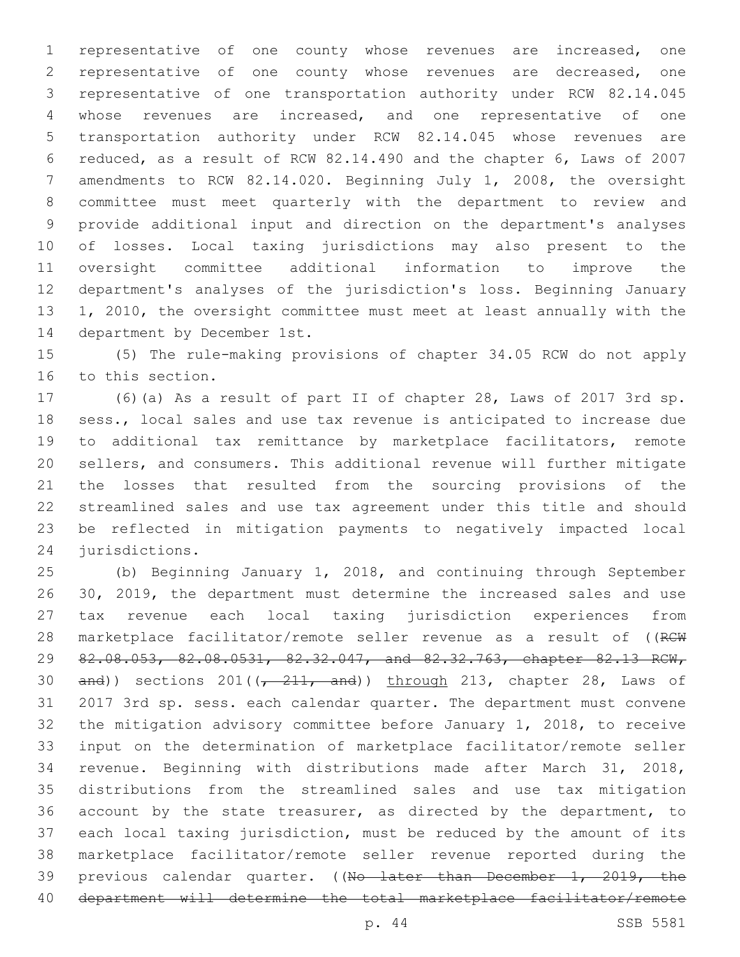representative of one county whose revenues are increased, one representative of one county whose revenues are decreased, one representative of one transportation authority under RCW 82.14.045 whose revenues are increased, and one representative of one transportation authority under RCW 82.14.045 whose revenues are reduced, as a result of RCW 82.14.490 and the chapter 6, Laws of 2007 amendments to RCW 82.14.020. Beginning July 1, 2008, the oversight committee must meet quarterly with the department to review and provide additional input and direction on the department's analyses of losses. Local taxing jurisdictions may also present to the oversight committee additional information to improve the department's analyses of the jurisdiction's loss. Beginning January 1, 2010, the oversight committee must meet at least annually with the 14 department by December 1st.

 (5) The rule-making provisions of chapter 34.05 RCW do not apply 16 to this section.

 (6)(a) As a result of part II of chapter 28, Laws of 2017 3rd sp. sess., local sales and use tax revenue is anticipated to increase due to additional tax remittance by marketplace facilitators, remote sellers, and consumers. This additional revenue will further mitigate the losses that resulted from the sourcing provisions of the streamlined sales and use tax agreement under this title and should be reflected in mitigation payments to negatively impacted local 24 jurisdictions.

 (b) Beginning January 1, 2018, and continuing through September 30, 2019, the department must determine the increased sales and use tax revenue each local taxing jurisdiction experiences from 28 marketplace facilitator/remote seller revenue as a result of ((RCW 82.08.053, 82.08.0531, 82.32.047, and 82.32.763, chapter 82.13 RCW,  $and$ ) sections 201( $\left(-211, and\right)$ ) through 213, chapter 28, Laws of 2017 3rd sp. sess. each calendar quarter. The department must convene the mitigation advisory committee before January 1, 2018, to receive input on the determination of marketplace facilitator/remote seller revenue. Beginning with distributions made after March 31, 2018, distributions from the streamlined sales and use tax mitigation 36 account by the state treasurer, as directed by the department, to each local taxing jurisdiction, must be reduced by the amount of its marketplace facilitator/remote seller revenue reported during the 39 previous calendar quarter. ((No later than December 1, 2019, the department will determine the total marketplace facilitator/remote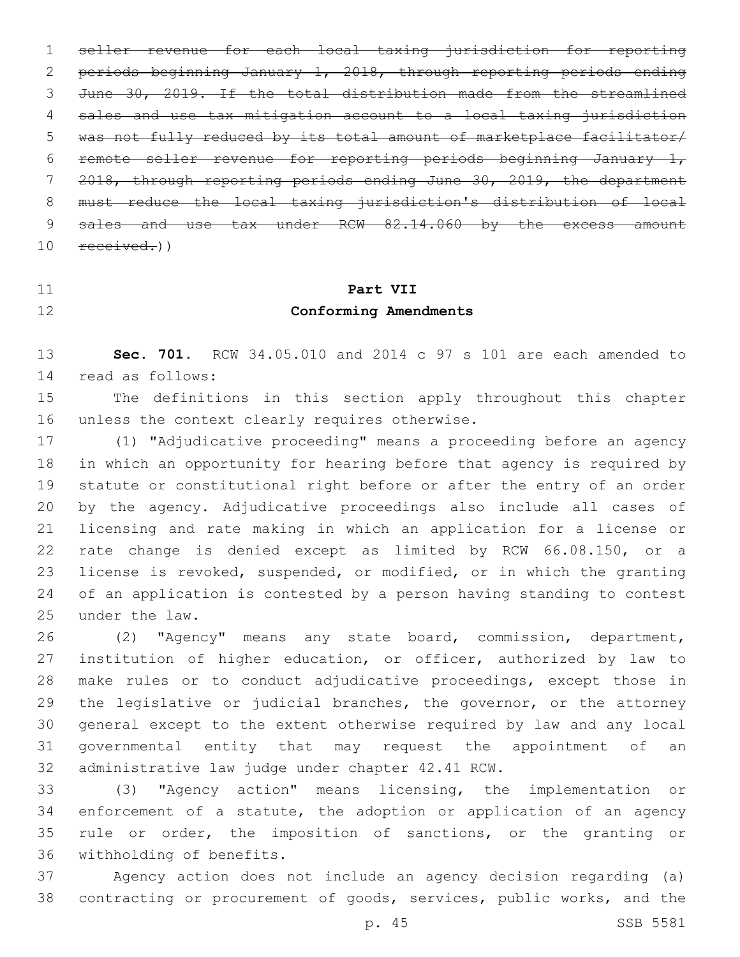seller revenue for each local taxing jurisdiction for reporting periods beginning January 1, 2018, through reporting periods ending June 30, 2019. If the total distribution made from the streamlined sales and use tax mitigation account to a local taxing jurisdiction was not fully reduced by its total amount of marketplace facilitator/ 6 remote seller revenue for reporting periods beginning January  $1<sub>r</sub>$  2018, through reporting periods ending June 30, 2019, the department must reduce the local taxing jurisdiction's distribution of local 9 sales and use tax under RCW 82.14.060 by the excess amount  $10 \text{ received.}$ 

# **Part VII Conforming Amendments**

**Sec. 701.** RCW 34.05.010 and 2014 c 97 s 101 are each amended to

14 read as follows:

 The definitions in this section apply throughout this chapter 16 unless the context clearly requires otherwise.

 (1) "Adjudicative proceeding" means a proceeding before an agency in which an opportunity for hearing before that agency is required by statute or constitutional right before or after the entry of an order by the agency. Adjudicative proceedings also include all cases of licensing and rate making in which an application for a license or rate change is denied except as limited by RCW 66.08.150, or a license is revoked, suspended, or modified, or in which the granting of an application is contested by a person having standing to contest 25 under the law.

 (2) "Agency" means any state board, commission, department, institution of higher education, or officer, authorized by law to make rules or to conduct adjudicative proceedings, except those in the legislative or judicial branches, the governor, or the attorney general except to the extent otherwise required by law and any local governmental entity that may request the appointment of an 32 administrative law judge under chapter 42.41 RCW.

 (3) "Agency action" means licensing, the implementation or enforcement of a statute, the adoption or application of an agency rule or order, the imposition of sanctions, or the granting or 36 withholding of benefits.

 Agency action does not include an agency decision regarding (a) contracting or procurement of goods, services, public works, and the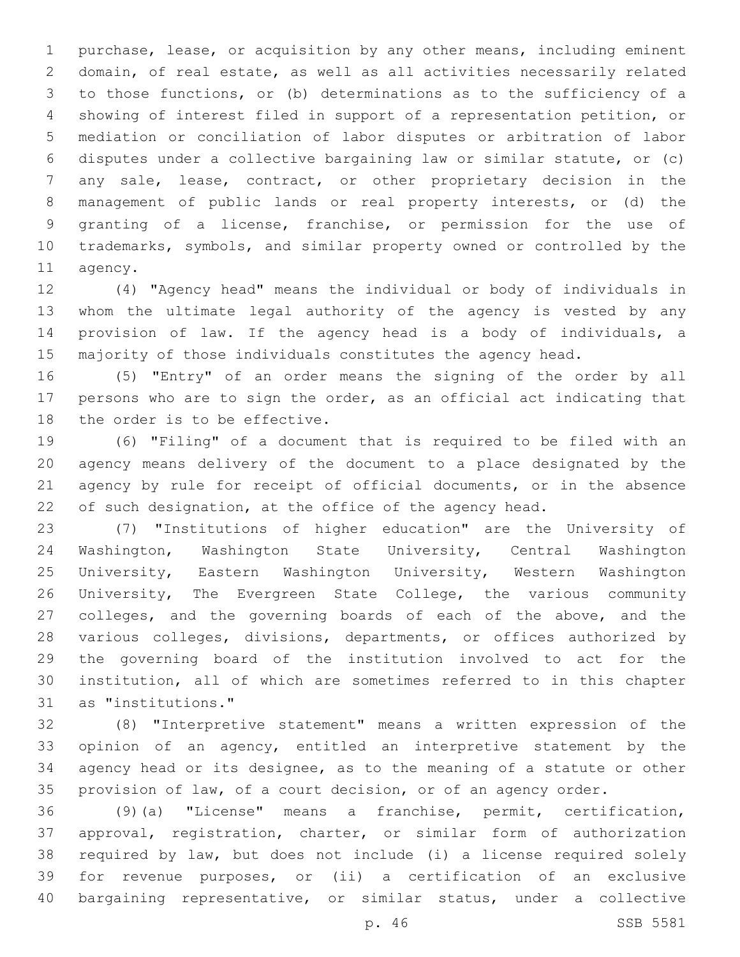purchase, lease, or acquisition by any other means, including eminent domain, of real estate, as well as all activities necessarily related to those functions, or (b) determinations as to the sufficiency of a showing of interest filed in support of a representation petition, or mediation or conciliation of labor disputes or arbitration of labor disputes under a collective bargaining law or similar statute, or (c) any sale, lease, contract, or other proprietary decision in the management of public lands or real property interests, or (d) the granting of a license, franchise, or permission for the use of trademarks, symbols, and similar property owned or controlled by the 11 agency.

 (4) "Agency head" means the individual or body of individuals in whom the ultimate legal authority of the agency is vested by any provision of law. If the agency head is a body of individuals, a majority of those individuals constitutes the agency head.

 (5) "Entry" of an order means the signing of the order by all persons who are to sign the order, as an official act indicating that 18 the order is to be effective.

 (6) "Filing" of a document that is required to be filed with an agency means delivery of the document to a place designated by the agency by rule for receipt of official documents, or in the absence 22 of such designation, at the office of the agency head.

 (7) "Institutions of higher education" are the University of Washington, Washington State University, Central Washington University, Eastern Washington University, Western Washington University, The Evergreen State College, the various community colleges, and the governing boards of each of the above, and the various colleges, divisions, departments, or offices authorized by the governing board of the institution involved to act for the institution, all of which are sometimes referred to in this chapter 31 as "institutions."

 (8) "Interpretive statement" means a written expression of the opinion of an agency, entitled an interpretive statement by the agency head or its designee, as to the meaning of a statute or other provision of law, of a court decision, or of an agency order.

 (9)(a) "License" means a franchise, permit, certification, approval, registration, charter, or similar form of authorization required by law, but does not include (i) a license required solely for revenue purposes, or (ii) a certification of an exclusive bargaining representative, or similar status, under a collective

p. 46 SSB 5581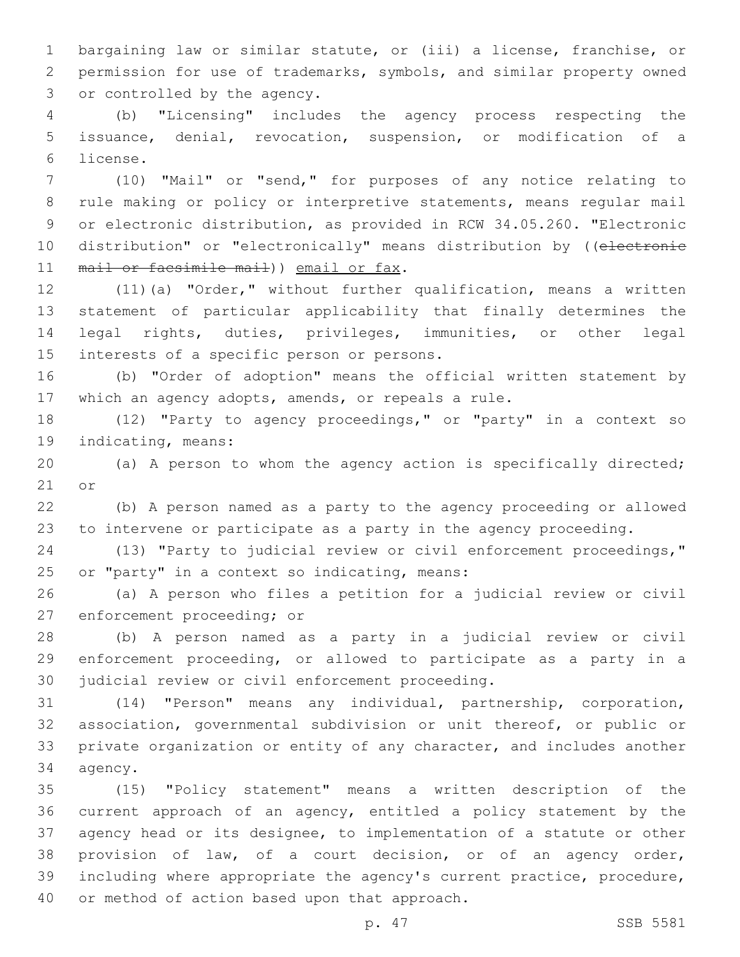bargaining law or similar statute, or (iii) a license, franchise, or permission for use of trademarks, symbols, and similar property owned 3 or controlled by the agency.

 (b) "Licensing" includes the agency process respecting the issuance, denial, revocation, suspension, or modification of a license.6

 (10) "Mail" or "send," for purposes of any notice relating to rule making or policy or interpretive statements, means regular mail or electronic distribution, as provided in RCW 34.05.260. "Electronic 10 distribution" or "electronically" means distribution by ((electronie 11 mail or facsimile mail) email or fax.

 (11)(a) "Order," without further qualification, means a written statement of particular applicability that finally determines the legal rights, duties, privileges, immunities, or other legal 15 interests of a specific person or persons.

 (b) "Order of adoption" means the official written statement by which an agency adopts, amends, or repeals a rule.

 (12) "Party to agency proceedings," or "party" in a context so 19 indicating, means:

 (a) A person to whom the agency action is specifically directed; or

 (b) A person named as a party to the agency proceeding or allowed to intervene or participate as a party in the agency proceeding.

 (13) "Party to judicial review or civil enforcement proceedings," 25 or "party" in a context so indicating, means:

 (a) A person who files a petition for a judicial review or civil 27 enforcement proceeding; or

 (b) A person named as a party in a judicial review or civil enforcement proceeding, or allowed to participate as a party in a 30 judicial review or civil enforcement proceeding.

 (14) "Person" means any individual, partnership, corporation, association, governmental subdivision or unit thereof, or public or private organization or entity of any character, and includes another 34 agency.

 (15) "Policy statement" means a written description of the current approach of an agency, entitled a policy statement by the agency head or its designee, to implementation of a statute or other provision of law, of a court decision, or of an agency order, including where appropriate the agency's current practice, procedure, 40 or method of action based upon that approach.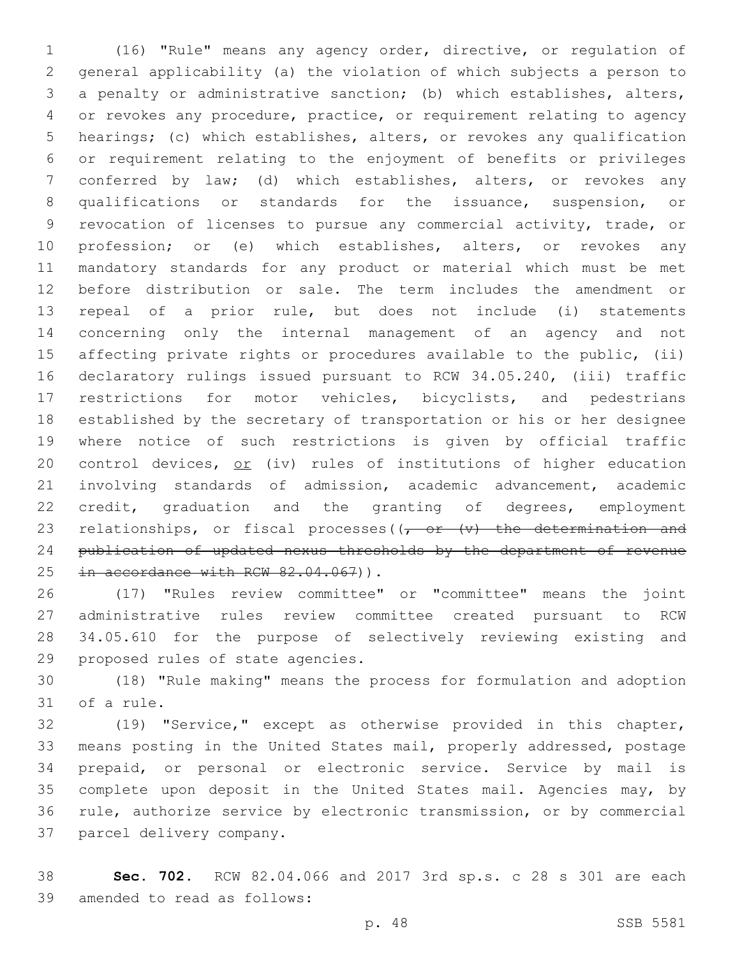(16) "Rule" means any agency order, directive, or regulation of general applicability (a) the violation of which subjects a person to a penalty or administrative sanction; (b) which establishes, alters, or revokes any procedure, practice, or requirement relating to agency hearings; (c) which establishes, alters, or revokes any qualification or requirement relating to the enjoyment of benefits or privileges conferred by law; (d) which establishes, alters, or revokes any qualifications or standards for the issuance, suspension, or revocation of licenses to pursue any commercial activity, trade, or 10 profession; or (e) which establishes, alters, or revokes any mandatory standards for any product or material which must be met before distribution or sale. The term includes the amendment or repeal of a prior rule, but does not include (i) statements concerning only the internal management of an agency and not affecting private rights or procedures available to the public, (ii) declaratory rulings issued pursuant to RCW 34.05.240, (iii) traffic restrictions for motor vehicles, bicyclists, and pedestrians established by the secretary of transportation or his or her designee where notice of such restrictions is given by official traffic 20 control devices, or (iv) rules of institutions of higher education involving standards of admission, academic advancement, academic credit, graduation and the granting of degrees, employment 23 relationships, or fiscal processes( $(-$ or  $(v)$  the determination and publication of updated nexus thresholds by the department of revenue 25 in accordance with RCW 82.04.067)).

 (17) "Rules review committee" or "committee" means the joint administrative rules review committee created pursuant to RCW 34.05.610 for the purpose of selectively reviewing existing and 29 proposed rules of state agencies.

 (18) "Rule making" means the process for formulation and adoption 31 of a rule.

 (19) "Service," except as otherwise provided in this chapter, means posting in the United States mail, properly addressed, postage prepaid, or personal or electronic service. Service by mail is complete upon deposit in the United States mail. Agencies may, by rule, authorize service by electronic transmission, or by commercial 37 parcel delivery company.

 **Sec. 702.** RCW 82.04.066 and 2017 3rd sp.s. c 28 s 301 are each 39 amended to read as follows: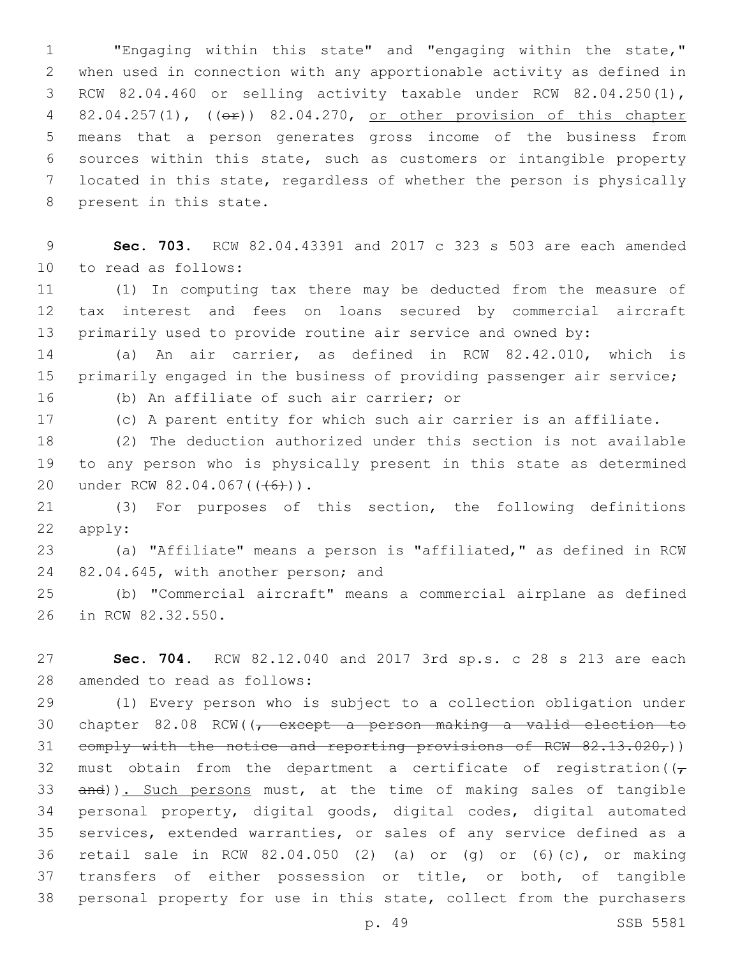"Engaging within this state" and "engaging within the state," when used in connection with any apportionable activity as defined in RCW 82.04.460 or selling activity taxable under RCW 82.04.250(1), 4 82.04.257(1), (( $\Theta$ )) 82.04.270, or other provision of this chapter means that a person generates gross income of the business from sources within this state, such as customers or intangible property located in this state, regardless of whether the person is physically 8 present in this state.

 **Sec. 703.** RCW 82.04.43391 and 2017 c 323 s 503 are each amended 10 to read as follows:

 (1) In computing tax there may be deducted from the measure of tax interest and fees on loans secured by commercial aircraft primarily used to provide routine air service and owned by:

 (a) An air carrier, as defined in RCW 82.42.010, which is 15 primarily engaged in the business of providing passenger air service; 16 (b) An affiliate of such air carrier; or

(c) A parent entity for which such air carrier is an affiliate.

 (2) The deduction authorized under this section is not available to any person who is physically present in this state as determined 20 under RCW 82.04.067(((6))).

 (3) For purposes of this section, the following definitions apply:

 (a) "Affiliate" means a person is "affiliated," as defined in RCW 24 82.04.645, with another person; and

 (b) "Commercial aircraft" means a commercial airplane as defined 26 in RCW 82.32.550.

 **Sec. 704.** RCW 82.12.040 and 2017 3rd sp.s. c 28 s 213 are each 28 amended to read as follows:

 (1) Every person who is subject to a collection obligation under 30 chapter 82.08 RCW( $\sqrt{ }$  except a person making a valid election to 31 comply with the notice and reporting provisions of RCW  $82.13.020<sub>r</sub>$ )) 32 must obtain from the department a certificate of registration( $(\tau$ 33 and)). Such persons must, at the time of making sales of tangible personal property, digital goods, digital codes, digital automated services, extended warranties, or sales of any service defined as a retail sale in RCW 82.04.050 (2) (a) or (g) or (6)(c), or making transfers of either possession or title, or both, of tangible personal property for use in this state, collect from the purchasers

p. 49 SSB 5581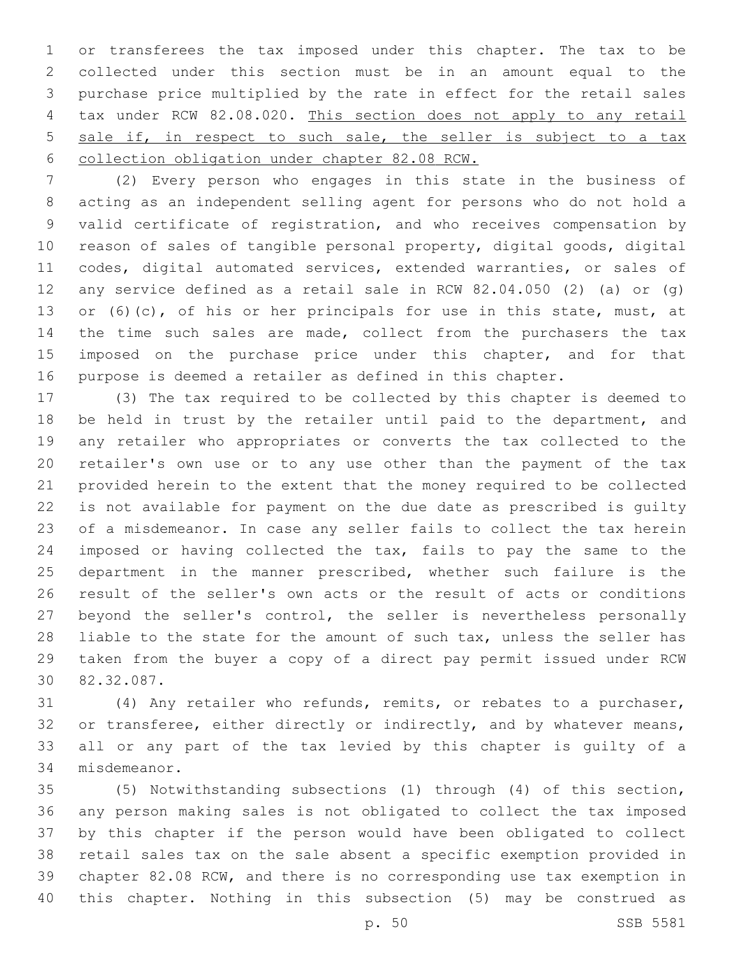or transferees the tax imposed under this chapter. The tax to be collected under this section must be in an amount equal to the purchase price multiplied by the rate in effect for the retail sales tax under RCW 82.08.020. This section does not apply to any retail sale if, in respect to such sale, the seller is subject to a tax collection obligation under chapter 82.08 RCW.

 (2) Every person who engages in this state in the business of acting as an independent selling agent for persons who do not hold a valid certificate of registration, and who receives compensation by reason of sales of tangible personal property, digital goods, digital codes, digital automated services, extended warranties, or sales of any service defined as a retail sale in RCW 82.04.050 (2) (a) or (g) 13 or (6)(c), of his or her principals for use in this state, must, at 14 the time such sales are made, collect from the purchasers the tax 15 imposed on the purchase price under this chapter, and for that purpose is deemed a retailer as defined in this chapter.

 (3) The tax required to be collected by this chapter is deemed to 18 be held in trust by the retailer until paid to the department, and any retailer who appropriates or converts the tax collected to the retailer's own use or to any use other than the payment of the tax provided herein to the extent that the money required to be collected is not available for payment on the due date as prescribed is guilty of a misdemeanor. In case any seller fails to collect the tax herein imposed or having collected the tax, fails to pay the same to the department in the manner prescribed, whether such failure is the result of the seller's own acts or the result of acts or conditions beyond the seller's control, the seller is nevertheless personally 28 liable to the state for the amount of such tax, unless the seller has taken from the buyer a copy of a direct pay permit issued under RCW 30 82.32.087.

 (4) Any retailer who refunds, remits, or rebates to a purchaser, 32 or transferee, either directly or indirectly, and by whatever means, all or any part of the tax levied by this chapter is guilty of a 34 misdemeanor.

 (5) Notwithstanding subsections (1) through (4) of this section, any person making sales is not obligated to collect the tax imposed by this chapter if the person would have been obligated to collect retail sales tax on the sale absent a specific exemption provided in chapter 82.08 RCW, and there is no corresponding use tax exemption in this chapter. Nothing in this subsection (5) may be construed as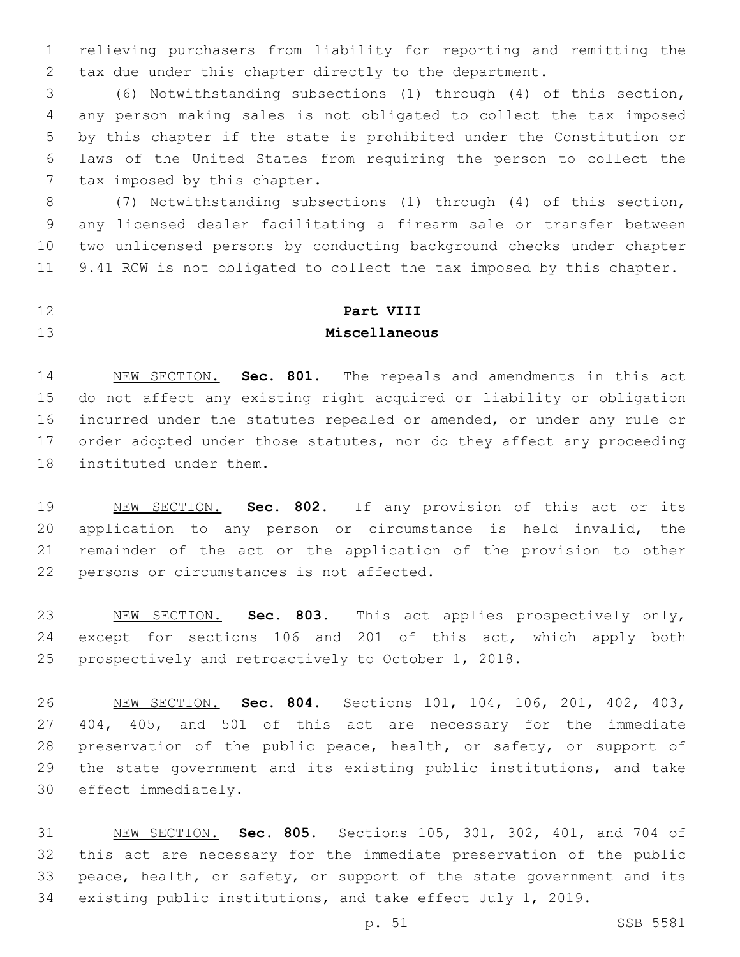relieving purchasers from liability for reporting and remitting the tax due under this chapter directly to the department.

 (6) Notwithstanding subsections (1) through (4) of this section, any person making sales is not obligated to collect the tax imposed by this chapter if the state is prohibited under the Constitution or laws of the United States from requiring the person to collect the 7 tax imposed by this chapter.

 (7) Notwithstanding subsections (1) through (4) of this section, any licensed dealer facilitating a firearm sale or transfer between two unlicensed persons by conducting background checks under chapter 9.41 RCW is not obligated to collect the tax imposed by this chapter.

## **Part VIII Miscellaneous**

 NEW SECTION. **Sec. 801.** The repeals and amendments in this act do not affect any existing right acquired or liability or obligation incurred under the statutes repealed or amended, or under any rule or order adopted under those statutes, nor do they affect any proceeding instituted under them.

 NEW SECTION. **Sec. 802.** If any provision of this act or its application to any person or circumstance is held invalid, the remainder of the act or the application of the provision to other persons or circumstances is not affected.

 NEW SECTION. **Sec. 803.** This act applies prospectively only, except for sections 106 and 201 of this act, which apply both prospectively and retroactively to October 1, 2018.

 NEW SECTION. **Sec. 804.** Sections 101, 104, 106, 201, 402, 403, 404, 405, and 501 of this act are necessary for the immediate 28 preservation of the public peace, health, or safety, or support of the state government and its existing public institutions, and take effect immediately.

 NEW SECTION. **Sec. 805.** Sections 105, 301, 302, 401, and 704 of this act are necessary for the immediate preservation of the public peace, health, or safety, or support of the state government and its existing public institutions, and take effect July 1, 2019.